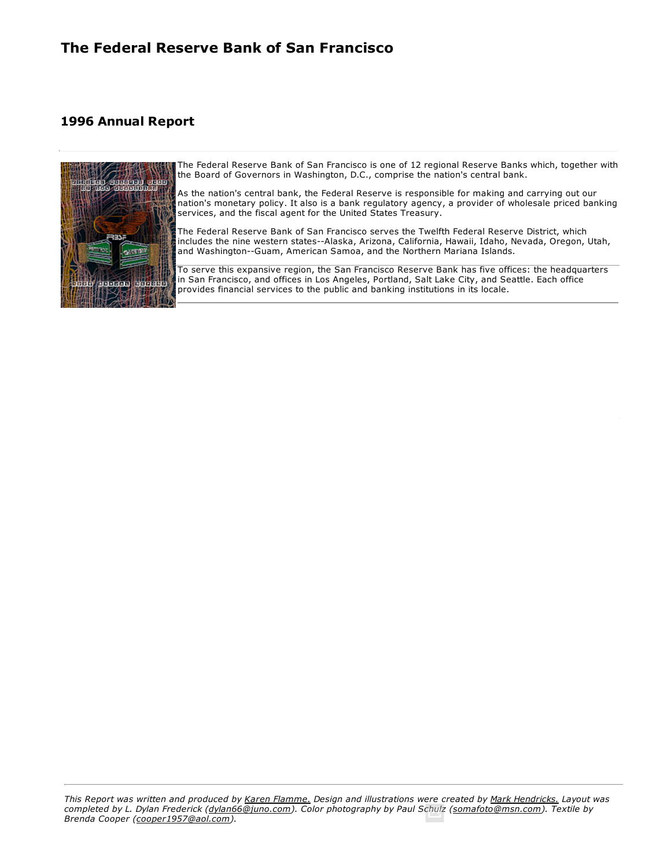# **1996 Annual Report**



[The Federal Reserve Bank of San Fra](http://www.frbsf.org/publications/federalreserve/annual/1996/officers.html)ncisco is one of 12 regional Reserve Banks which, together with [the Bo](http://www.frbsf.org/publications/federalreserve/annual/1996/summary.html)ard of Governors in Washington, D.C., comprise the nation's central bank.

[As th](http://www.frbsf.org/publications/federalreserve/annual/1996/condition.html)e nation's central bank, the Federal Reserve is responsible for making and carrying out our [nati](http://www.frbsf.org/publications/federalreserve/annual/1996/income.html)on's monetary policy. It also is a bank regulatory agency, a provider of wholesale priced banking [services, and t](http://www.frbsf.org/publications/federalreserve/annual/1996/capital.html)he fiscal agent for the United States Treasury.

[The Federal Reserve Bank of San Franc](http://www.frbsf.org/publications/federalreserve/annual/1996/advisory.html)isco serves the Twelfth Federal Reserve District, which [includes the n](http://www.frbsf.org/publications/federalreserve/annual/1996/district.html)ine western states--Alaska, Arizona, California, Hawaii, Idaho, Nevada, Oregon, Utah, [and Washing](http://www.frbsf.org/publications/federalreserve/annual/1996/footnotes.html)ton--Guam, American Samoa, and the Northern Mariana Islands.

To serve this expansive region, the San Francisco Reserve Bank has five offices: the headquarters in San Francisco, and offices in Los Angeles, Portland, Salt Lake City, and Seattle. Each office provides financial services to the public and banking institutions in its locale.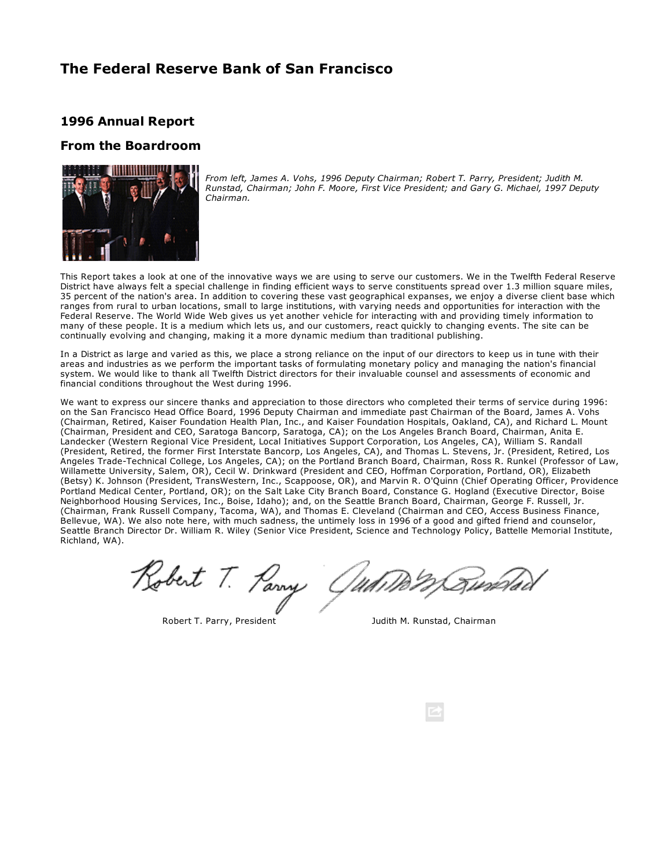## **1996 Annual Report**

## **From the Boardroom**



*From left, James A. Vohs, 1996 Deputy Chairman; Robert T. Parry, President; Judith M. Runstad, Chairman; John F. Moore, First Vice President; and Gary G. Michael, 1997 Deputy Chairman.*

This Report takes a look at one of the innovative ways we are using to serve our customers. We in the Twelfth Federal Reserve District have always felt a special challenge in finding efficient ways to serve constituents spread over 1.3 million square miles, 35 percent of the nation's area. In addition to covering these vast geographical expanses, we enjoy a diverse client base which ranges from rural to urban locations, small to large institutions, with varying needs and opportunities for interaction with the Federal Reserve. The World Wide Web gives us yet another vehicle for interacting with and providing timely information to many of these people. It is a medium which lets us, and our customers, react quickly to changing events. The site can be continually evolving and changing, making it a more dynamic medium than traditional publishing.

In a District as large and varied as this, we place a strong reliance on the input of our directors to keep us in tune with their areas and industries as we perform the important tasks of formulating monetary policy and managing the nation's financial system. We would like to thank all Twelfth District directors for their invaluable counsel and assessments of economic and financial conditions throughout the West during 1996.

We want to express our sincere thanks and appreciation to those directors who completed their terms of service during 1996: on the San Francisco Head Office Board, 1996 Deputy Chairman and immediate past Chairman of the Board, James A. Vohs (Chairman, Retired, Kaiser Foundation Health Plan, Inc., and Kaiser Foundation Hospitals, Oakland, CA), and Richard L. Mount (Chairman, President and CEO, Saratoga Bancorp, Saratoga, CA); on the Los Angeles Branch Board, Chairman, Anita E. Landecker (Western Regional Vice President, Local Initiatives Support Corporation, Los Angeles, CA), William S. Randall (President, Retired, the former First Interstate Bancorp, Los Angeles, CA), and Thomas L. Stevens, Jr. (President, Retired, Los Angeles TradeTechnical College, Los Angeles, CA); on the Portland Branch Board, Chairman, Ross R. Runkel (Professor of Law, Willamette University, Salem, OR), Cecil W. Drinkward (President and CEO, Hoffman Corporation, Portland, OR), Elizabeth (Betsy) K. Johnson (President, TransWestern, Inc., Scappoose, OR), and Marvin R. O'Quinn (Chief Operating Officer, Providence Portland Medical Center, Portland, OR); on the Salt Lake City Branch Board, Constance G. Hogland (Executive Director, Boise Neighborhood Housing Services, Inc., Boise, Idaho); and, on the Seattle Branch Board, Chairman, George F. Russell, Jr. (Chairman, Frank Russell Company, Tacoma, WA), and Thomas E. Cleveland (Chairman and CEO, Access Business Finance, Bellevue, WA). We also note here, with much sadness, the untimely loss in 1996 of a good and gifted friend and counselor, Seattle Branch Director Dr. William R. Wiley (Senior Vice President, Science and Technology Policy, Battelle Memorial Institute, Richland, WA).

Robert T. Parry

Robert T. Parry, President T. Parry, President M. Runstad, Chairman

G un TWW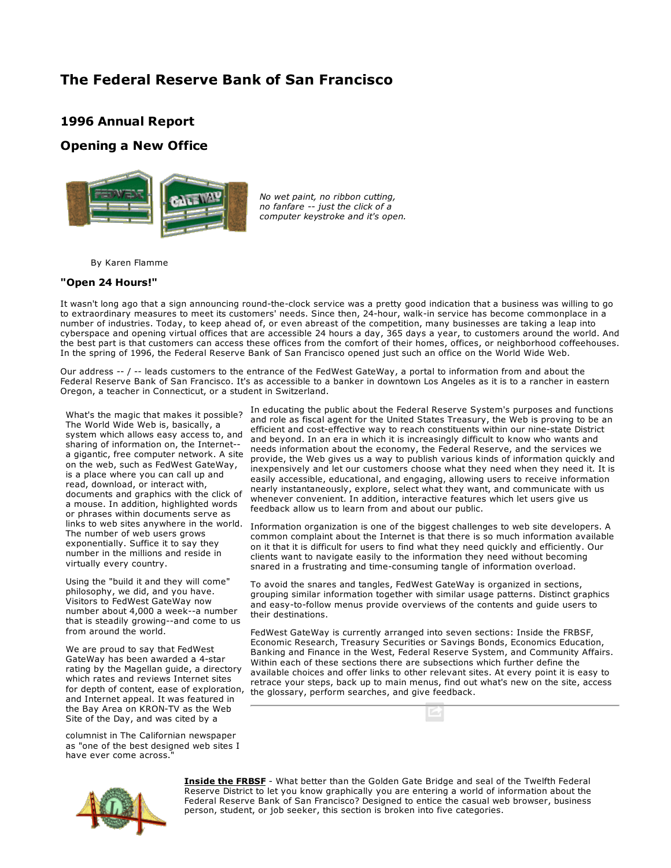## **1996 Annual Report**

## **Opening a New Office**



*No wet paint, no ribbon cutting, no fanfare just the click of a computer keystroke and it's open.*

By Karen Flamme

### **"Open 24 Hours!"**

It wasn't long ago that a sign announcing round-the-clock service was a pretty good indication that a business was willing to go to extraordinary measures to meet its customers' needs. Since then, 24-hour, walk-in service has become commonplace in a number of industries. Today, to keep ahead of, or even abreast of the competition, many businesses are taking a leap into cyberspace and opening virtual offices that are accessible 24 hours a day, 365 days a year, to customers around the world. And the best part is that customers can access these offices from the comfort of their homes, offices, or neighborhood coffeehouses. In the spring of 1996, the Federal Reserve Bank of San Francisco opened just such an office on the World Wide Web.

Our address -- / -- leads customers to the entrance of the FedWest GateWay, a portal to information from and about the Federal Reserve Bank of San Francisco. It's as accessible to a banker in downtown Los Angeles as it is to a rancher in eastern Oregon, a teacher in Connecticut, or a student in Switzerland.

What's the magic that makes it possible? The World Wide Web is, basically, a system which allows easy access to, and sharing of information on, the Internet a gigantic, free computer network. A site on the web, such as FedWest GateWay, is a place where you can call up and read, download, or interact with, documents and graphics with the click of a mouse. In addition, highlighted words or phrases within documents serve as links to web sites anywhere in the world. The number of web users grows exponentially. Suffice it to say they number in the millions and reside in virtually every country.

Using the "build it and they will come" philosophy, we did, and you have. Visitors to FedWest GateWay now number about 4,000 a week--a number that is steadily growing--and come to us from around the world.

We are proud to say that FedWest GateWay has been awarded a 4-star rating by the Magellan guide, a directory which rates and reviews Internet sites and Internet appeal. It was featured in the Bay Area on KRON-TV as the Web Site of the Day, and was cited by a

columnist in The Californian newspaper as "one of the best designed web sites I have ever come across."

In educating the public about the Federal Reserve System's purposes and functions and role as fiscal agent for the United States Treasury, the Web is proving to be an efficient and cost-effective way to reach constituents within our nine-state District and beyond. In an era in which it is increasingly difficult to know who wants and needs information about the economy, the Federal Reserve, and the services we provide, the Web gives us a way to publish various kinds of information quickly and inexpensively and let our customers choose what they need when they need it. It is easily accessible, educational, and engaging, allowing users to receive information nearly instantaneously, explore, select what they want, and communicate with us whenever convenient. In addition, interactive features which let users give us feedback allow us to learn from and about our public.

Information organization is one of the biggest challenges to web site developers. A common complaint about the Internet is that there is so much information available on it that it is difficult for users to find what they need quickly and efficiently. Our clients want to navigate easily to the information they need without becoming snared in a frustrating and time-consuming tangle of information overload.

To avoid the snares and tangles, FedWest GateWay is organized in sections, grouping similar information together with similar usage patterns. Distinct graphics and easy-to-follow menus provide overviews of the contents and guide users to their destinations.

for depth of content, ease of exploration, the glossary, perform searches, and give feedback. FedWest GateWay is currently arranged into seven sections: Inside the FRBSF, Economic Research, Treasury Securities or Savings Bonds, Economics Education, Banking and Finance in the West, Federal Reserve System, and Community Affairs. Within each of these sections there are subsections which further define the available choices and offer links to other relevant sites. At every point it is easy to retrace your steps, back up to main menus, find out what's new on the site, access



**[Inside](http://www.frbsf.org/federalreserve/index.html) the FRBSF** What better than the Golden Gate Bridge and seal of the Twelfth Federal Reserve District to let you know graphically you are entering a world of information about the Federal Reserve Bank of San Francisco? Designed to entice the casual web browser, business person, student, or job seeker, this section is broken into five categories.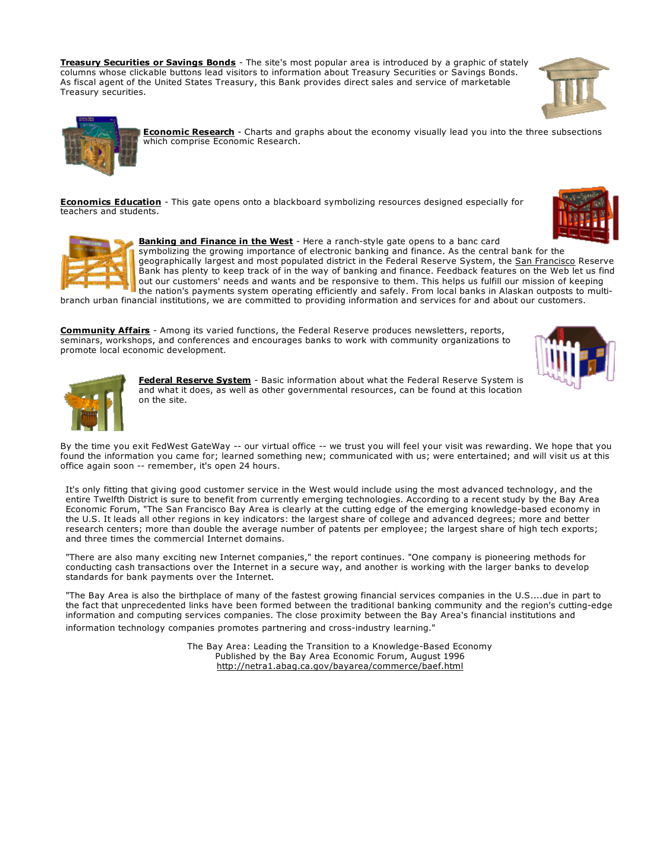**Treasury [Securities](http://www.frbsf.org/federalreserve/system/treasury.html) or Savings Bonds** The site's most popular area is introduced by a graphic of stately columns whose clickable buttons lead visitors to information about Treasury Securities or Savings Bonds. As fiscal agent of the United States Treasury, this Bank provides direct sales and service of marketable Treasury securities.



**[Economic](http://www.frbsf.org/publications/economics/review/index.html) Research** Charts and graphs about the economy visually lead you into the three subsections which comprise Economic Research.

**[Economics](http://www.frbsf.org/education/index.html) Education** - This gate opens onto a blackboard symbolizing resources designed especially for teachers and students.

> **[Banking](http://www.frbsf.org/banking/index.html) and Finance in the West** Here a ranchstyle gate opens to a banc card symbolizing the growing importance of electronic banking and finance. As the central bank for the geographically largest and most populated district in the Federal Reserve System, the [San Francisco](http://www.frbsf.org/publications/federalreserve/annual/1996/opening.html#sidebar) Reserve Bank has plenty to keep track of in the way of banking and finance. Feedback features on the Web let us find out our customers' needs and wants and be responsive to them. This helps us fulfill our mission of keeping the nation's payments system operating efficiently and safely. From local banks in Alaskan outposts to multi-

branch urban financial institutions, we are committed to providing information and services for and about our customers.

**[Community](http://www.frbsf.org/community/index.html) Affairs** Among its varied functions, the Federal Reserve produces newsletters, reports, seminars, workshops, and conferences and encourages banks to work with community organizations to promote local economic development.





Federal [Reserve](http://www.frbsf.org/federalreserve/system/index.html) System - Basic information about what the Federal Reserve System is and what it does, as well as other governmental resources, can be found at this location on the site.

By the time you exit FedWest GateWay -- our virtual office -- we trust you will feel your visit was rewarding. We hope that you found the information you came for; learned something new; communicated with us; were entertained; and will visit us at this office again soon -- remember, it's open 24 hours.

It's only fitting that giving good customer service in the West would include using the most advanced technology, and the entire Twelfth District is sure to benefit from currently emerging technologies. According to a recent study by the Bay Area Economic Forum, "The San Francisco Bay Area is clearly at the cutting edge of the emerging knowledge-based economy in the U.S. It leads all other regions in key indicators: the largest share of college and advanced degrees; more and better research centers; more than double the average number of patents per employee; the largest share of high tech exports; and three times the commercial Internet domains.

"There are also many exciting new Internet companies," the report continues. "One company is pioneering methods for conducting cash transactions over the Internet in a secure way, and another is working with the larger banks to develop standards for bank payments over the Internet.

"The Bay Area is also the birthplace of many of the fastest growing financial services companies in the U.S....due in part to the fact that unprecedented links have been formed between the traditional banking community and the region's cutting-edge information and computing services companies. The close proximity between the Bay Area's financial institutions and information technology companies promotes partnering and cross-industry learning."

> The Bay Area: Leading the Transition to a Knowledge-Based Economy Published by the Bay Area Economic Forum, August 1996 <http://netra1.abag.ca.gov/bayarea/commerce/baef.html>

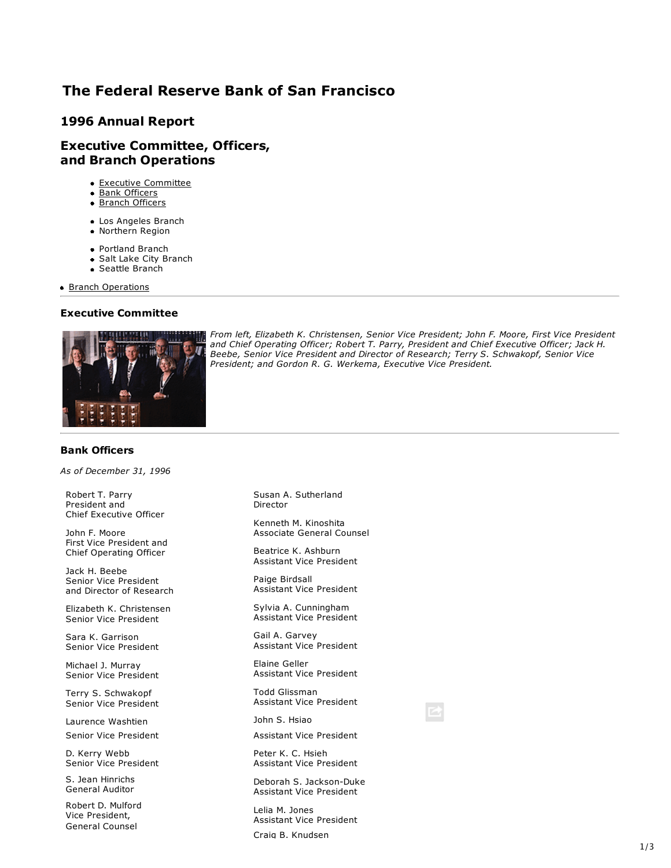## **1996 Annual Report**

## **Executive Committee, Officers, and Branch Operations**

- Executive Committee
- Bank Officers
- Branch Officers
- Los Angeles Branch
- Northern Region
- Portland Branch
- Salt Lake City Branch
- Seattle Branch

**Branch Operations** 

## **Executive Committee**



*From left, Elizabeth K. Christensen, Senior Vice President; John F. Moore, First Vice President and Chief Operating Officer; Robert T. Parry, President and Chief Executive Officer; Jack H. Beebe, Senior Vice President and Director of Research; Terry S. Schwakopf, Senior Vice President; and Gordon R. G. Werkema, Executive Vice President.*

### **Bank Officers**

*As of December 31, 1996*

Robert T. Parry President and Chief Executive Officer

John F. Moore First Vice President and Chief Operating Officer

Jack H. Beebe Senior Vice President and Director of Research

Elizabeth K. Christensen Senior Vice President

Sara K. Garrison Senior Vice President

Michael J. Murray Senior Vice President

Terry S. Schwakopf Senior Vice President

Laurence Washtien Senior Vice President

D. Kerry Webb Senior Vice President

S. Jean Hinrichs General Auditor

Robert D. Mulford Vice President, General Counsel

Susan A. Sutherland Director

Kenneth M. Kinoshita Associate General Counsel

Beatrice K. Ashburn Assistant Vice President

Paige Birdsall Assistant Vice President

Sylvia A. Cunningham Assistant Vice President

Gail A. Garvey Assistant Vice President

Elaine Geller Assistant Vice President

Todd Glissman Assistant Vice President

John S. Hsiao

Assistant Vice President

Peter K. C. Hsieh Assistant Vice President

Deborah S. Jackson-Duke Assistant Vice President

Lelia M. Jones Assistant Vice President

Craig B. Knudsen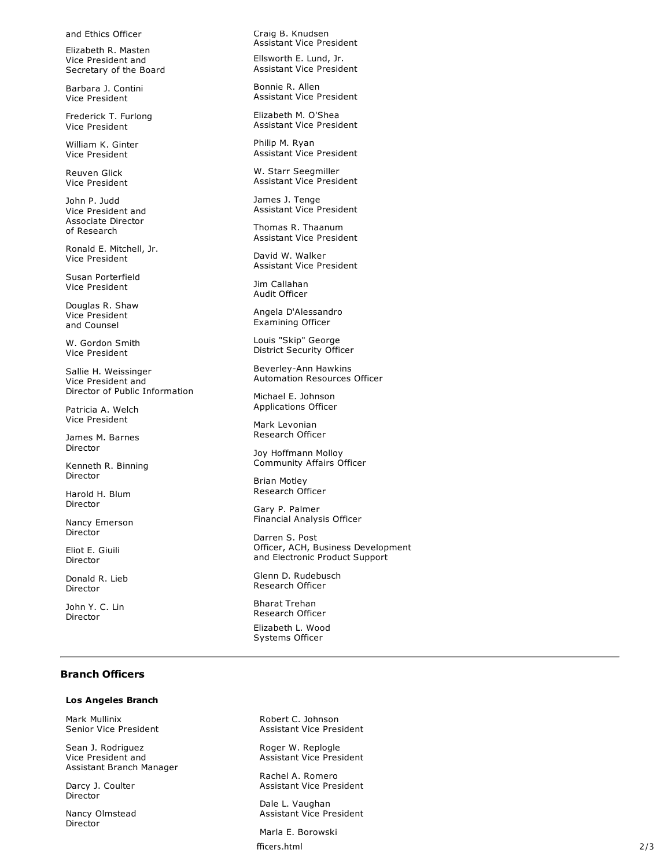and Ethics Officer

Elizabeth R. Masten Vice President and Secretary of the Board

Barbara J. Contini Vice President

Frederick T. Furlong Vice President

William K. Ginter Vice President

Reuven Glick Vice President

John P. Judd Vice President and Associate Director of Research

Ronald E. Mitchell, Jr. Vice President

Susan Porterfield Vice President

Douglas R. Shaw Vice President and Counsel

W. Gordon Smith Vice President

Sallie H. Weissinger Vice President and Director of Public Information

Patricia A. Welch Vice President

James M. Barnes Director

Kenneth R. Binning Director

Harold H. Blum Director

Nancy Emerson Director

Eliot E. Giuili Director

Donald R. Lieb Director

John Y. C. Lin Director

Craig B. Knudsen Assistant Vice President

Ellsworth E. Lund, Jr. Assistant Vice President

Bonnie R. Allen Assistant Vice President

Elizabeth M. O'Shea Assistant Vice President

Philip M. Ryan Assistant Vice President

W. Starr Seegmiller Assistant Vice President

James J. Tenge Assistant Vice President

Thomas R. Thaanum Assistant Vice President

David W. Walker Assistant Vice President

Jim Callahan Audit Officer

Angela D'Alessandro Examining Officer

Louis "Skip" George District Security Officer

Beverley-Ann Hawkins Automation Resources Officer

Michael E. Johnson Applications Officer

Mark Levonian Research Officer

Joy Hoffmann Molloy Community Affairs Officer

Brian Motley Research Officer

Gary P. Palmer Financial Analysis Officer

Darren S. Post Officer, ACH, Business Development and Electronic Product Support

Glenn D. Rudebusch Research Officer

Bharat Trehan Research Officer

Elizabeth L. Wood Systems Officer

### **Branch Officers**

#### **Los Angeles Branch**

Mark Mullinix Senior Vice President

Sean J. Rodriguez Vice President and Assistant Branch Manager

Darcy J. Coulter Director

Nancy Olmstead Director

Robert C. Johnson Assistant Vice President

Roger W. Replogle Assistant Vice President

Rachel A. Romero Assistant Vice President

Dale L. Vaughan Assistant Vice President

fficers.html 2/3 Marla E. Borowski fficers.html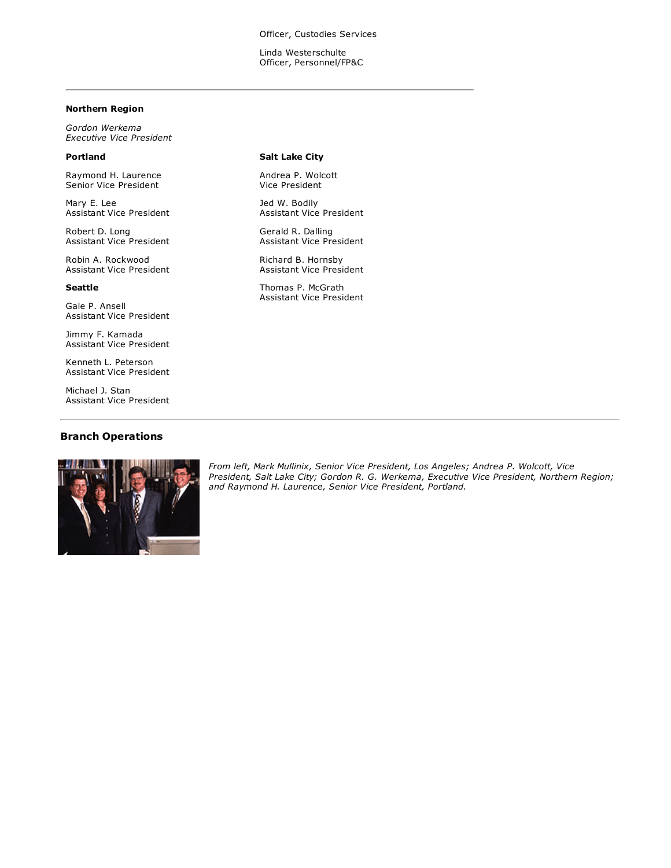Officer, Custodies Services

Linda Westerschulte Officer, Personnel/FP&C

#### **Northern Region**

*Gordon Werkema Executive Vice President*

## **Portland**

Raymond H. Laurence Senior Vice President

Mary E. Lee Assistant Vice President

Robert D. Long Assistant Vice President

Robin A. Rockwood Assistant Vice President

#### **Seattle**

Gale P. Ansell Assistant Vice President

Jimmy F. Kamada Assistant Vice President

Kenneth L. Peterson Assistant Vice President

Michael J. Stan Assistant Vice President

### **Branch Operations**



**Salt Lake City**

Andrea P. Wolcott Vice President

Jed W. Bodily Assistant Vice President

Gerald R. Dalling Assistant Vice President

Richard B. Hornsby Assistant Vice President

Thomas P. McGrath Assistant Vice President

*From left, Mark Mullinix, Senior Vice President, Los Angeles; Andrea P. Wolcott, Vice President, Salt Lake City; Gordon R. G. Werkema, Executive Vice President, Northern Region; and Raymond H. Laurence, Senior Vice President, Portland.*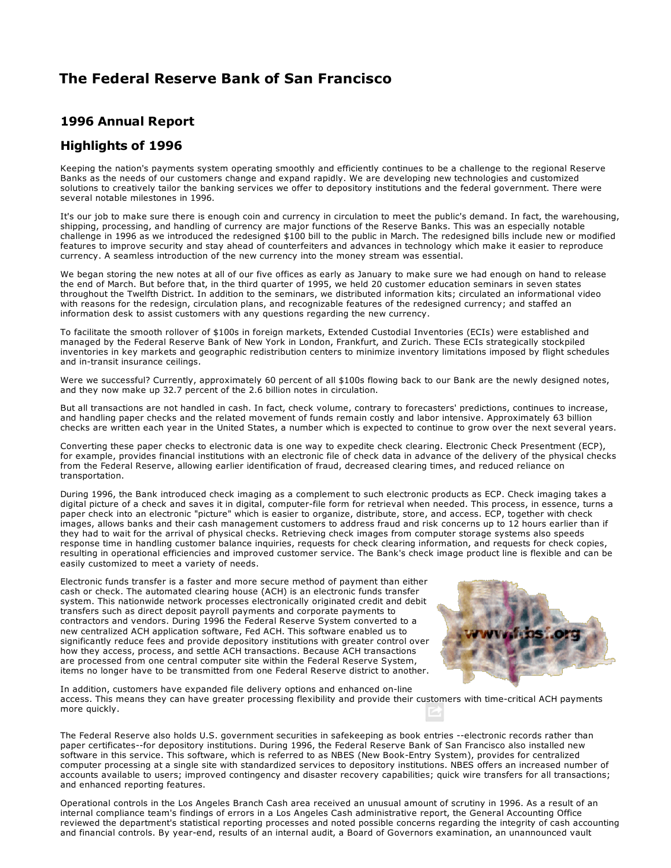## **1996 Annual Report**

## **Highlights of 1996**

Keeping the nation's payments system operating smoothly and efficiently continues to be a challenge to the regional Reserve Banks as the needs of our customers change and expand rapidly. We are developing new technologies and customized solutions to creatively tailor the banking services we offer to depository institutions and the federal government. There were several notable milestones in 1996.

It's our job to make sure there is enough coin and currency in circulation to meet the public's demand. In fact, the warehousing, shipping, processing, and handling of currency are major functions of the Reserve Banks. This was an especially notable challenge in 1996 as we introduced the redesigned \$100 bill to the public in March. The redesigned bills include new or modified features to improve security and stay ahead of counterfeiters and advances in technology which make it easier to reproduce currency. A seamless introduction of the new currency into the money stream was essential.

We began storing the new notes at all of our five offices as early as January to make sure we had enough on hand to release the end of March. But before that, in the third quarter of 1995, we held 20 customer education seminars in seven states throughout the Twelfth District. In addition to the seminars, we distributed information kits; circulated an informational video with reasons for the redesign, circulation plans, and recognizable features of the redesigned currency; and staffed an information desk to assist customers with any questions regarding the new currency.

To facilitate the smooth rollover of \$100s in foreign markets, Extended Custodial Inventories (ECIs) were established and managed by the Federal Reserve Bank of New York in London, Frankfurt, and Zurich. These ECIs strategically stockpiled inventories in key markets and geographic redistribution centers to minimize inventory limitations imposed by flight schedules and in-transit insurance ceilings.

Were we successful? Currently, approximately 60 percent of all \$100s flowing back to our Bank are the newly designed notes, and they now make up 32.7 percent of the 2.6 billion notes in circulation.

But all transactions are not handled in cash. In fact, check volume, contrary to forecasters' predictions, continues to increase, and handling paper checks and the related movement of funds remain costly and labor intensive. Approximately 63 billion checks are written each year in the United States, a number which is expected to continue to grow over the next several years.

Converting these paper checks to electronic data is one way to expedite check clearing. Electronic Check Presentment (ECP), for example, provides financial institutions with an electronic file of check data in advance of the delivery of the physical checks from the Federal Reserve, allowing earlier identification of fraud, decreased clearing times, and reduced reliance on transportation.

During 1996, the Bank introduced check imaging as a complement to such electronic products as ECP. Check imaging takes a digital picture of a check and saves it in digital, computer-file form for retrieval when needed. This process, in essence, turns a paper check into an electronic "picture" which is easier to organize, distribute, store, and access. ECP, together with check images, allows banks and their cash management customers to address fraud and risk concerns up to 12 hours earlier than if they had to wait for the arrival of physical checks. Retrieving check images from computer storage systems also speeds response time in handling customer balance inquiries, requests for check clearing information, and requests for check copies, resulting in operational efficiencies and improved customer service. The Bank's check image product line is flexible and can be easily customized to meet a variety of needs.

Electronic funds transfer is a faster and more secure method of payment than either cash or check. The automated clearing house (ACH) is an electronic funds transfer system. This nationwide network processes electronically originated credit and debit transfers such as direct deposit payroll payments and corporate payments to contractors and vendors. During 1996 the Federal Reserve System converted to a new centralized ACH application software, Fed ACH. This software enabled us to significantly reduce fees and provide depository institutions with greater control over how they access, process, and settle ACH transactions. Because ACH transactions are processed from one central computer site within the Federal Reserve System, items no longer have to be transmitted from one Federal Reserve district to another.



In addition, customers have expanded file delivery options and enhanced on-line access. This means they can have greater processing flexibility and provide their customers with time-critical ACH payments more quickly.

The Federal Reserve also holds U.S. government securities in safekeeping as book entries --electronic records rather than paper certificates--for depository institutions. During 1996, the Federal Reserve Bank of San Francisco also installed new software in this service. This software, which is referred to as NBES (New Book-Entry System), provides for centralized computer processing at a single site with standardized services to depository institutions. NBES offers an increased number of accounts available to users; improved contingency and disaster recovery capabilities; quick wire transfers for all transactions; and enhanced reporting features.

Operational controls in the Los Angeles Branch Cash area received an unusual amount of scrutiny in 1996. As a result of an internal compliance team's findings of errors in a Los Angeles Cash administrative report, the General Accounting Office reviewed the department's statistical reporting processes and noted possible concerns regarding the integrity of cash accounting and financial controls. By year-end, results of an internal audit, a Board of Governors examination, an unannounced vault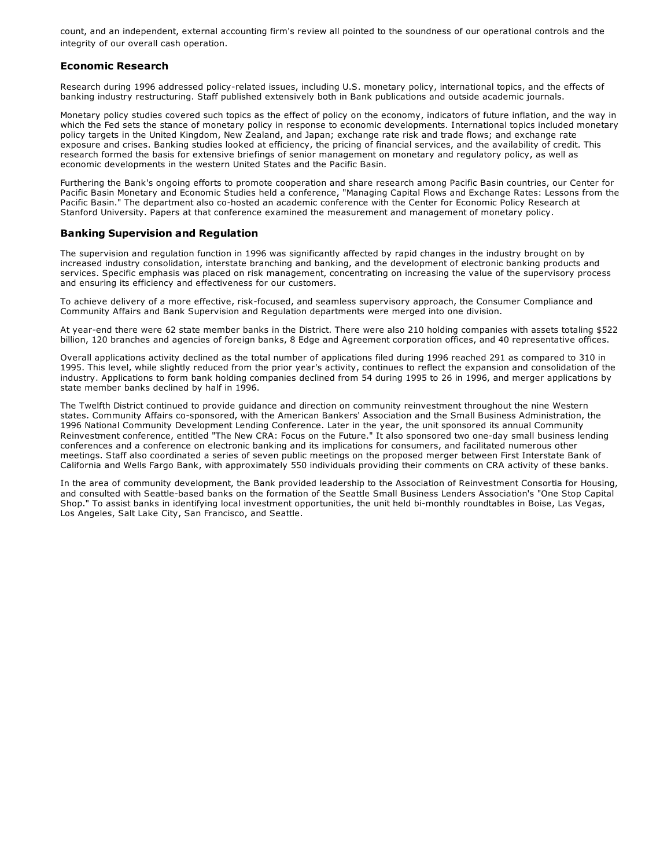count, and an independent, external accounting firm's review all pointed to the soundness of our operational controls and the integrity of our overall cash operation.

### **Economic Research**

Research during 1996 addressed policy-related issues, including U.S. monetary policy, international topics, and the effects of banking industry restructuring. Staff published extensively both in Bank publications and outside academic journals.

Monetary policy studies covered such topics as the effect of policy on the economy, indicators of future inflation, and the way in which the Fed sets the stance of monetary policy in response to economic developments. International topics included monetary policy targets in the United Kingdom, New Zealand, and Japan; exchange rate risk and trade flows; and exchange rate exposure and crises. Banking studies looked at efficiency, the pricing of financial services, and the availability of credit. This research formed the basis for extensive briefings of senior management on monetary and regulatory policy, as well as economic developments in the western United States and the Pacific Basin.

Furthering the Bank's ongoing efforts to promote cooperation and share research among Pacific Basin countries, our Center for Pacific Basin Monetary and Economic Studies held a conference, "Managing Capital Flows and Exchange Rates: Lessons from the Pacific Basin." The department also co-hosted an academic conference with the Center for Economic Policy Research at Stanford University. Papers at that conference examined the measurement and management of monetary policy.

### **Banking Supervision and Regulation**

The supervision and regulation function in 1996 was significantly affected by rapid changes in the industry brought on by increased industry consolidation, interstate branching and banking, and the development of electronic banking products and services. Specific emphasis was placed on risk management, concentrating on increasing the value of the supervisory process and ensuring its efficiency and effectiveness for our customers.

To achieve delivery of a more effective, risk-focused, and seamless supervisory approach, the Consumer Compliance and Community Affairs and Bank Supervision and Regulation departments were merged into one division.

At year-end there were 62 state member banks in the District. There were also 210 holding companies with assets totaling \$522 billion, 120 branches and agencies of foreign banks, 8 Edge and Agreement corporation offices, and 40 representative offices.

Overall applications activity declined as the total number of applications filed during 1996 reached 291 as compared to 310 in 1995. This level, while slightly reduced from the prior year's activity, continues to reflect the expansion and consolidation of the industry. Applications to form bank holding companies declined from 54 during 1995 to 26 in 1996, and merger applications by state member banks declined by half in 1996.

The Twelfth District continued to provide guidance and direction on community reinvestment throughout the nine Western states. Community Affairs co-sponsored, with the American Bankers' Association and the Small Business Administration, the 1996 National Community Development Lending Conference. Later in the year, the unit sponsored its annual Community Reinvestment conference, entitled "The New CRA: Focus on the Future." It also sponsored two one-day small business lending conferences and a conference on electronic banking and its implications for consumers, and facilitated numerous other meetings. Staff also coordinated a series of seven public meetings on the proposed merger between First Interstate Bank of California and Wells Fargo Bank, with approximately 550 individuals providing their comments on CRA activity of these banks.

In the area of community development, the Bank provided leadership to the Association of Reinvestment Consortia for Housing, and consulted with Seattle-based banks on the formation of the Seattle Small Business Lenders Association's "One Stop Capital Shop." To assist banks in identifying local investment opportunities, the unit held bi-monthly roundtables in Boise, Las Vegas, Los Angeles, Salt Lake City, San Francisco, and Seattle.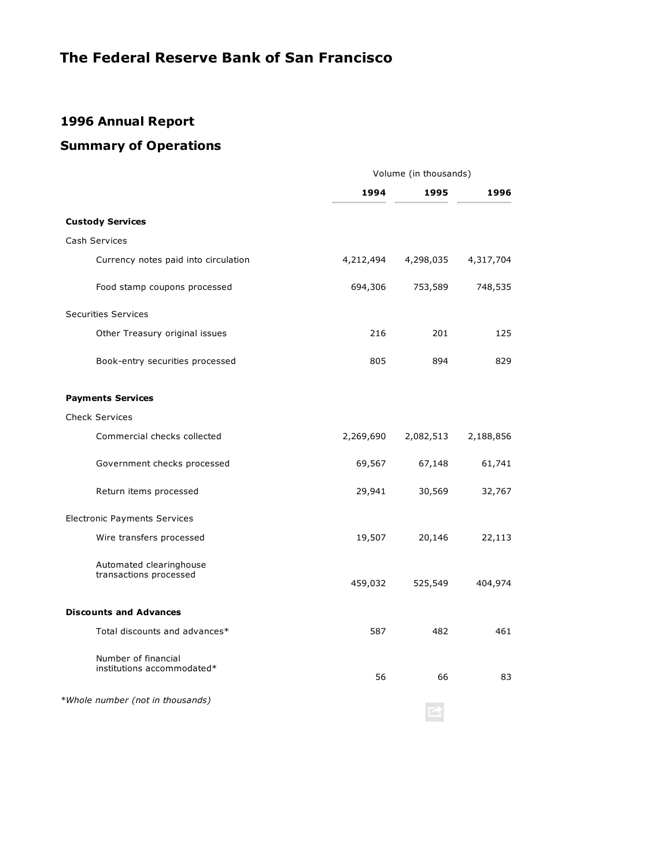# **1996 Annual Report**

# **Summary of Operations**

|                                                   | Volume (in thousands) |           |           |
|---------------------------------------------------|-----------------------|-----------|-----------|
|                                                   | 1994                  | 1995      | 1996      |
| <b>Custody Services</b>                           |                       |           |           |
| Cash Services                                     |                       |           |           |
| Currency notes paid into circulation              | 4,212,494             | 4,298,035 | 4,317,704 |
| Food stamp coupons processed                      | 694,306               | 753,589   | 748,535   |
| <b>Securities Services</b>                        |                       |           |           |
| Other Treasury original issues                    | 216                   | 201       | 125       |
| Book-entry securities processed                   | 805                   | 894       | 829       |
| <b>Payments Services</b>                          |                       |           |           |
| <b>Check Services</b>                             |                       |           |           |
| Commercial checks collected                       | 2,269,690             | 2,082,513 | 2,188,856 |
| Government checks processed                       | 69,567                | 67,148    | 61,741    |
| Return items processed                            | 29,941                | 30,569    | 32,767    |
| <b>Electronic Payments Services</b>               |                       |           |           |
| Wire transfers processed                          | 19,507                | 20,146    | 22,113    |
| Automated clearinghouse<br>transactions processed | 459,032               | 525,549   | 404,974   |
| <b>Discounts and Advances</b>                     |                       |           |           |
| Total discounts and advances*                     | 587                   | 482       | 461       |
| Number of financial<br>institutions accommodated* | 56                    | 66        | 83        |
| *Whole number (not in thousands)                  |                       |           |           |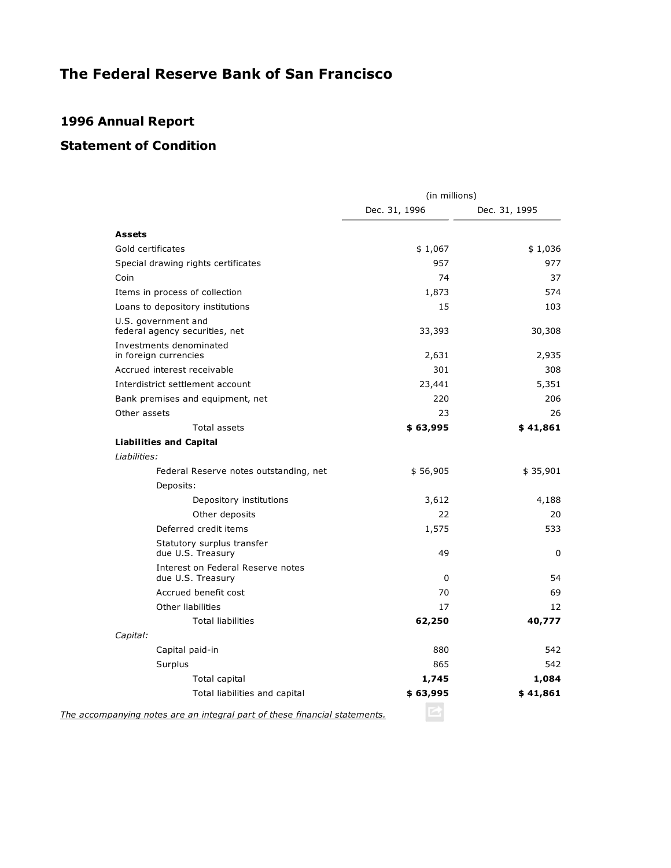# **1996 Annual Report**

# **Statement of Condition**

|                                                                            | (in millions) |               |
|----------------------------------------------------------------------------|---------------|---------------|
|                                                                            | Dec. 31, 1996 | Dec. 31, 1995 |
| <b>Assets</b>                                                              |               |               |
| Gold certificates                                                          | \$1,067       | \$1,036       |
| Special drawing rights certificates                                        | 957           | 977           |
| Coin                                                                       | 74            | 37            |
| Items in process of collection                                             | 1,873         | 574           |
| Loans to depository institutions                                           | 15            | 103           |
| U.S. government and<br>federal agency securities, net                      | 33,393        | 30,308        |
| Investments denominated<br>in foreign currencies                           | 2,631         | 2,935         |
| Accrued interest receivable                                                | 301           | 308           |
| Interdistrict settlement account                                           | 23,441        | 5,351         |
| Bank premises and equipment, net                                           | 220           | 206           |
| Other assets                                                               | 23            | 26            |
| Total assets                                                               | \$63,995      | \$41,861      |
| <b>Liabilities and Capital</b>                                             |               |               |
| Liabilities:                                                               |               |               |
| Federal Reserve notes outstanding, net                                     | \$56,905      | \$35,901      |
| Deposits:                                                                  |               |               |
| Depository institutions                                                    | 3,612         | 4,188         |
| Other deposits                                                             | 22            | 20            |
| Deferred credit items                                                      | 1,575         | 533           |
| Statutory surplus transfer<br>due U.S. Treasury                            | 49            | 0             |
| Interest on Federal Reserve notes<br>due U.S. Treasury                     | 0             | 54            |
| Accrued benefit cost                                                       | 70            | 69            |
| Other liabilities                                                          | 17            | 12            |
| <b>Total liabilities</b>                                                   | 62,250        | 40,777        |
| Capital:                                                                   |               |               |
| Capital paid-in                                                            | 880           | 542           |
| Surplus                                                                    | 865           | 542           |
| Total capital                                                              | 1,745         | 1,084         |
| Total liabilities and capital                                              | \$63,995      | \$41,861      |
| The accompanying notes are an integral part of these financial statements. |               |               |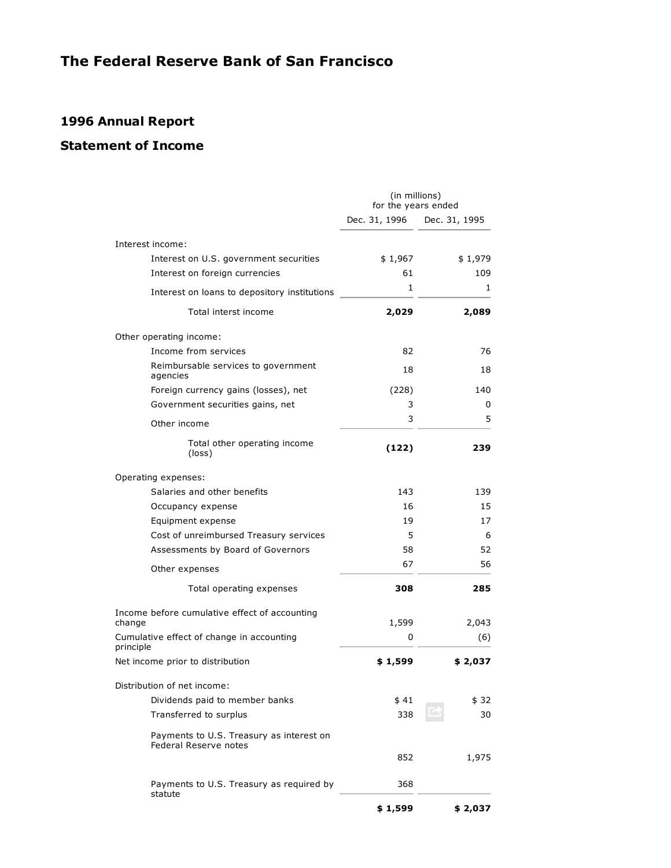# **1996 Annual Report**

# **Statement of Income**

|                                                                   | (in millions)<br>for the years ended |               |
|-------------------------------------------------------------------|--------------------------------------|---------------|
|                                                                   | Dec. 31, 1996                        | Dec. 31, 1995 |
| Interest income:                                                  |                                      |               |
| Interest on U.S. government securities                            | \$1,967                              | \$1,979       |
| Interest on foreign currencies                                    | 61                                   | 109           |
| Interest on loans to depository institutions                      | $\mathbf{1}$                         | 1             |
| Total interst income                                              | 2,029                                | 2,089         |
| Other operating income:                                           |                                      |               |
| Income from services                                              | 82                                   | 76            |
| Reimbursable services to government<br>agencies                   | 18                                   | 18            |
| Foreign currency gains (losses), net                              | (228)                                | 140           |
| Government securities gains, net                                  | 3                                    | 0             |
| Other income                                                      | 3                                    | 5             |
| Total other operating income<br>(loss)                            | (122)                                | 239           |
| Operating expenses:                                               |                                      |               |
| Salaries and other benefits                                       | 143                                  | 139           |
| Occupancy expense                                                 | 16                                   | 15            |
| Equipment expense                                                 | 19                                   | 17            |
| Cost of unreimbursed Treasury services                            | 5                                    | 6             |
| Assessments by Board of Governors                                 | 58                                   | 52            |
| Other expenses                                                    | 67                                   | 56            |
| Total operating expenses                                          | 308                                  | 285           |
| Income before cumulative effect of accounting<br>change           | 1,599                                | 2,043         |
| Cumulative effect of change in accounting                         | 0                                    | (6)           |
| principle                                                         |                                      |               |
| Net income prior to distribution                                  | \$1,599                              | \$2,037       |
| Distribution of net income:                                       |                                      |               |
| Dividends paid to member banks                                    | \$41                                 | \$ 32         |
| Transferred to surplus                                            | 338                                  | 30            |
| Payments to U.S. Treasury as interest on<br>Federal Reserve notes |                                      |               |
|                                                                   | 852                                  | 1,975         |
| Payments to U.S. Treasury as required by<br>statute               | 368                                  |               |
|                                                                   | \$1,599                              | \$2,037       |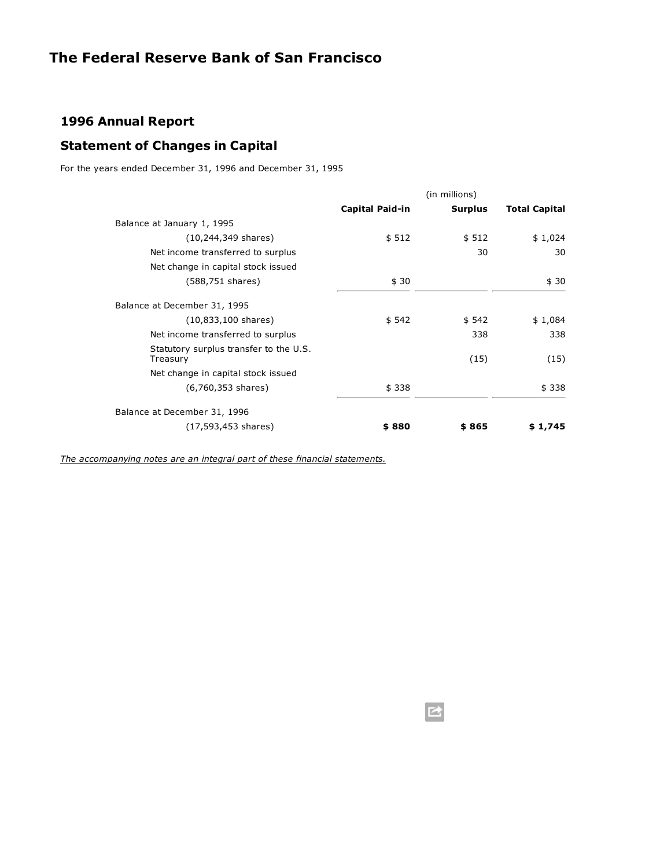## **1996 Annual Report**

# **Statement of Changes in Capital**

For the years ended December 31, 1996 and December 31, 1995

|                                                    | (in millions)          |                |                      |
|----------------------------------------------------|------------------------|----------------|----------------------|
|                                                    | <b>Capital Paid-in</b> | <b>Surplus</b> | <b>Total Capital</b> |
| Balance at January 1, 1995                         |                        |                |                      |
| (10,244,349 shares)                                | \$512                  | \$512          | \$1,024              |
| Net income transferred to surplus                  |                        | 30             | 30                   |
| Net change in capital stock issued                 |                        |                |                      |
| (588,751 shares)                                   | \$30                   |                | \$30                 |
| Balance at December 31, 1995                       |                        |                |                      |
| $(10,833,100 \text{ shares})$                      | \$542                  | \$542          | \$1,084              |
| Net income transferred to surplus                  |                        | 338            | 338                  |
| Statutory surplus transfer to the U.S.<br>Treasury |                        | (15)           | (15)                 |
| Net change in capital stock issued                 |                        |                |                      |
| $(6,760,353 \text{ shares})$                       | \$338                  |                | \$338                |
| Balance at December 31, 1996                       |                        |                |                      |
| (17,593,453 shares)                                | \$880                  | \$865          | \$1,745              |

*[The accompanying notes are an integral part of these financial statements.](http://www.frbsf.org/publications/federalreserve/annual/1996/footnotes.html)*

■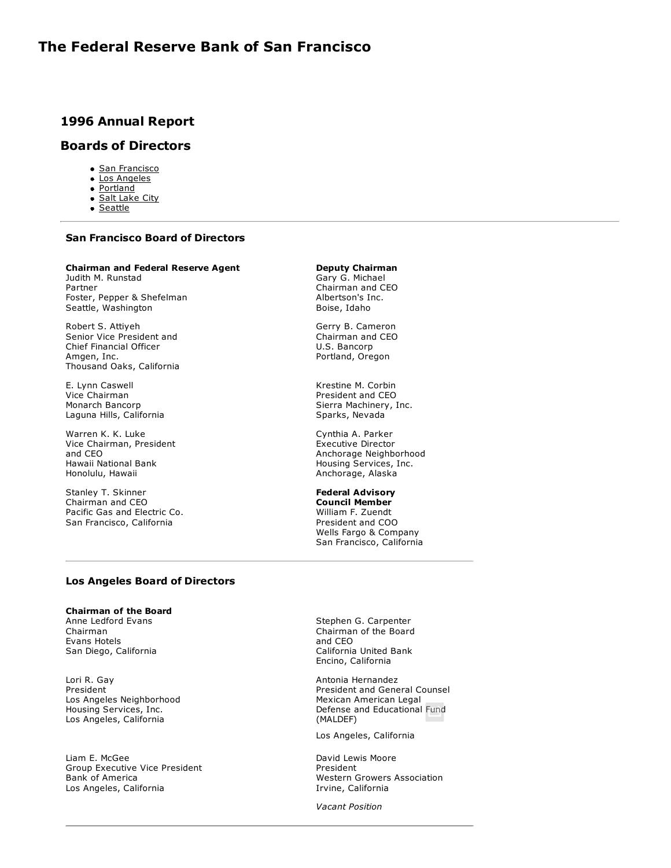## **1996 Annual Report**

## **Boards of Directors**

- [San Francisco](http://www.frbsf.org/publications/federalreserve/annual/1996/boards.html#sf)
- [Los Angeles](http://www.frbsf.org/publications/federalreserve/annual/1996/boards.html#la)
- [Portland](http://www.frbsf.org/publications/federalreserve/annual/1996/boards.html#portland)
- [Salt Lake City](http://www.frbsf.org/publications/federalreserve/annual/1996/boards.html#slc)
- [Seattle](http://www.frbsf.org/publications/federalreserve/annual/1996/boards.html#seattle)

## **San Francisco Board of Directors**

### **Chairman and Federal Reserve Agent**

Judith M. Runstad Partner Foster, Pepper & Shefelman Seattle, Washington

Robert S. Attiyeh Senior Vice President and Chief Financial Officer Amgen, Inc. Thousand Oaks, California

E. Lynn Caswell Vice Chairman Monarch Bancorp Laguna Hills, California

Warren K. K. Luke Vice Chairman, President and CEO Hawaii National Bank Honolulu, Hawaii

Stanley T. Skinner Chairman and CEO Pacific Gas and Electric Co. San Francisco, California

### **Los Angeles Board of Directors**

### **Chairman of the Board**

Anne Ledford Evans Chairman Evans Hotels San Diego, California

Lori R. Gay President Los Angeles Neighborhood Housing Services, Inc. Los Angeles, California

Liam E. McGee Group Executive Vice President Bank of America Los Angeles, California

#### **Deputy Chairman** Gary G. Michael

Chairman and CEO Albertson's Inc. Boise, Idaho

Gerry B. Cameron Chairman and CEO U.S. Bancorp Portland, Oregon

Krestine M. Corbin President and CEO Sierra Machinery, Inc. Sparks, Nevada

Cynthia A. Parker Executive Director Anchorage Neighborhood Housing Services, Inc. Anchorage, Alaska

**Federal Advisory Council Member** William F. Zuendt President and COO Wells Fargo & Company San Francisco, California

Stephen G. Carpenter Chairman of the Board and CEO California United Bank Encino, California

Antonia Hernandez President and General Counsel Mexican American Legal Defense and Educational Fund (MALDEF)

Los Angeles, California

David Lewis Moore President Western Growers Association Irvine, California

*Vacant Position*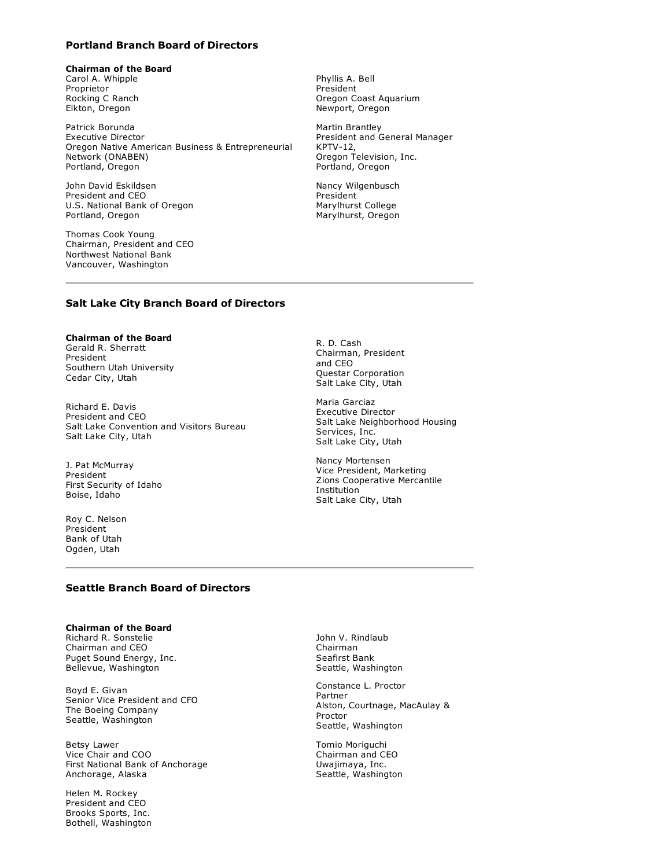## **Portland Branch Board of Directors**

## **Chairman of the Board**

Carol A. Whipple Proprietor Rocking C Ranch Elkton, Oregon

Patrick Borunda Executive Director Oregon Native American Business & Entrepreneurial Network (ONABEN) Portland, Oregon

John David Eskildsen President and CEO U.S. National Bank of Oregon Portland, Oregon

Thomas Cook Young Chairman, President and CEO Northwest National Bank Vancouver, Washington

Phyllis A. Bell President Oregon Coast Aquarium Newport, Oregon

Martin Brantley President and General Manager  $KPTV-12$ , Oregon Television, Inc. Portland, Oregon

Nancy Wilgenbusch President Marylhurst College Marylhurst, Oregon

### **Salt Lake City Branch Board of Directors**

#### **Chairman of the Board** Gerald R. Sherratt President

Southern Utah University Cedar City, Utah

Richard E. Davis President and CEO Salt Lake Convention and Visitors Bureau Salt Lake City, Utah

J. Pat McMurray President First Security of Idaho Boise, Idaho

Roy C. Nelson President Bank of Utah Ogden, Utah

R. D. Cash Chairman, President and CEO Questar Corporation Salt Lake City, Utah

Maria Garciaz Executive Director Salt Lake Neighborhood Housing Services, Inc. Salt Lake City, Utah

Nancy Mortensen Vice President, Marketing Zions Cooperative Mercantile Institution Salt Lake City, Utah

### **Seattle Branch Board of Directors**

#### **Chairman of the Board** Richard R. Sonstelie Chairman and CEO Puget Sound Energy, Inc. Bellevue, Washington

Boyd E. Givan Senior Vice President and CFO The Boeing Company Seattle, Washington

Betsy Lawer Vice Chair and COO First National Bank of Anchorage Anchorage, Alaska

Helen M. Rockey President and CEO Brooks Sports, Inc. Bothell, Washington John V. Rindlaub Chairman Seafirst Bank Seattle, Washington

Constance L. Proctor Partner Alston, Courtnage, MacAulay & Proctor Seattle, Washington

Tomio Moriguchi Chairman and CEO Uwajimaya, Inc. Seattle, Washington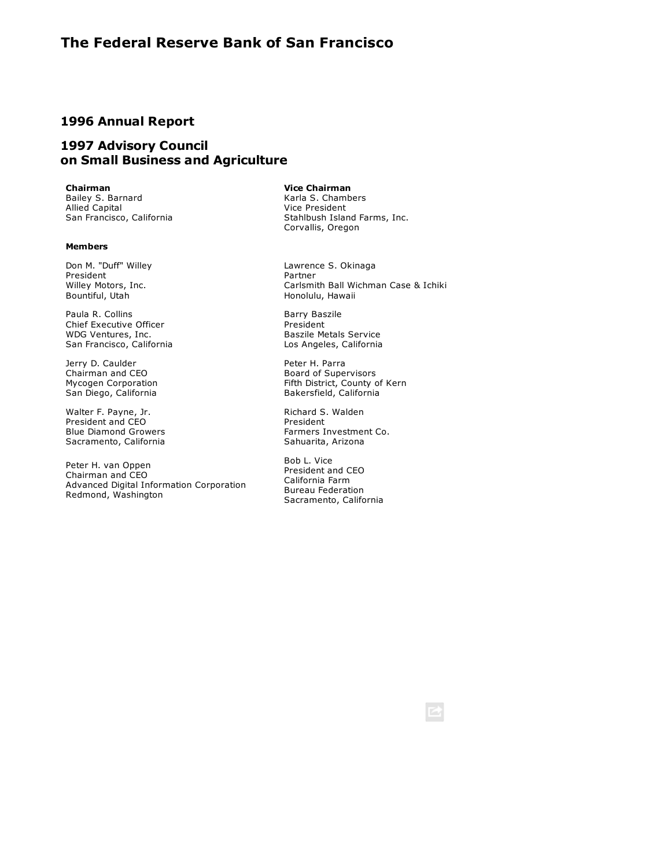## **1996 Annual Report**

## **1997 Advisory Council on Small Business and Agriculture**

**Chairman**

Bailey S. Barnard Allied Capital San Francisco, California

### **Members**

Don M. "Duff" Willey President Willey Motors, Inc. Bountiful, Utah

Paula R. Collins Chief Executive Officer WDG Ventures, Inc. San Francisco, California

Jerry D. Caulder Chairman and CEO Mycogen Corporation San Diego, California

Walter F. Payne, Jr. President and CEO Blue Diamond Growers Sacramento, California

Peter H. van Oppen Chairman and CEO Advanced Digital Information Corporation Redmond, Washington

#### **Vice Chairman**

Karla S. Chambers Vice President Stahlbush Island Farms, Inc. Corvallis, Oregon

Lawrence S. Okinaga Partner Carlsmith Ball Wichman Case & Ichiki Honolulu, Hawaii

Barry Baszile President Baszile Metals Service Los Angeles, California

Peter H. Parra Board of Supervisors Fifth District, County of Kern Bakersfield, California

Richard S. Walden President Farmers Investment Co. Sahuarita, Arizona

Bob L. Vice President and CEO California Farm Bureau Federation Sacramento, California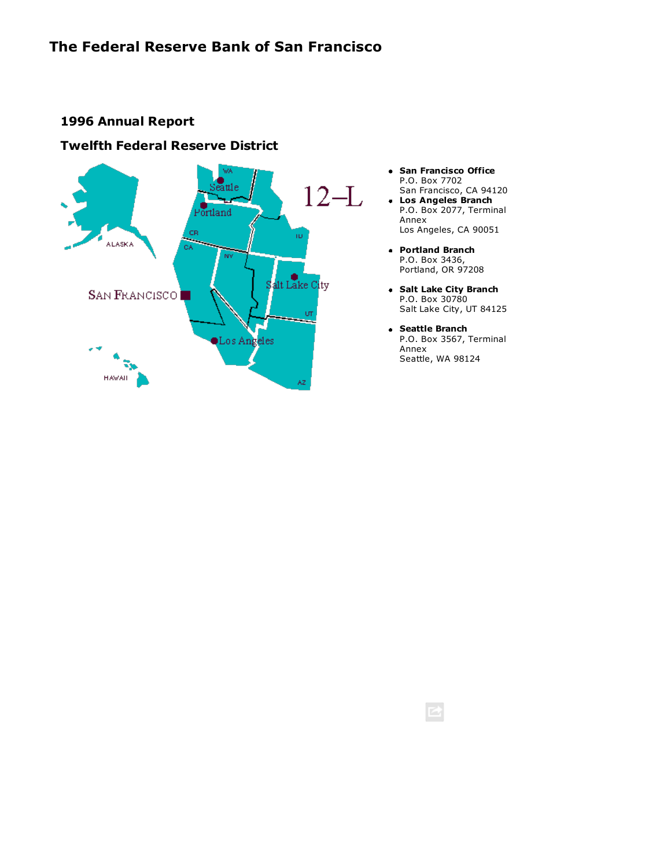# **1996 Annual Report**

## **Twelfth Federal Reserve District**



- **San Francisco Office** P.O. Box 7702 San Francisco, CA 94120
- **Los Angeles Branch** P.O. Box 2077, Terminal Annex Los Angeles, CA 90051
- **Portland Branch** P.O. Box 3436, Portland, OR 97208
- **Salt Lake City Branch** P.O. Box 30780 Salt Lake City, UT 84125
- **Seattle Branch** P.O. Box 3567, Terminal Annex Seattle, WA 98124

■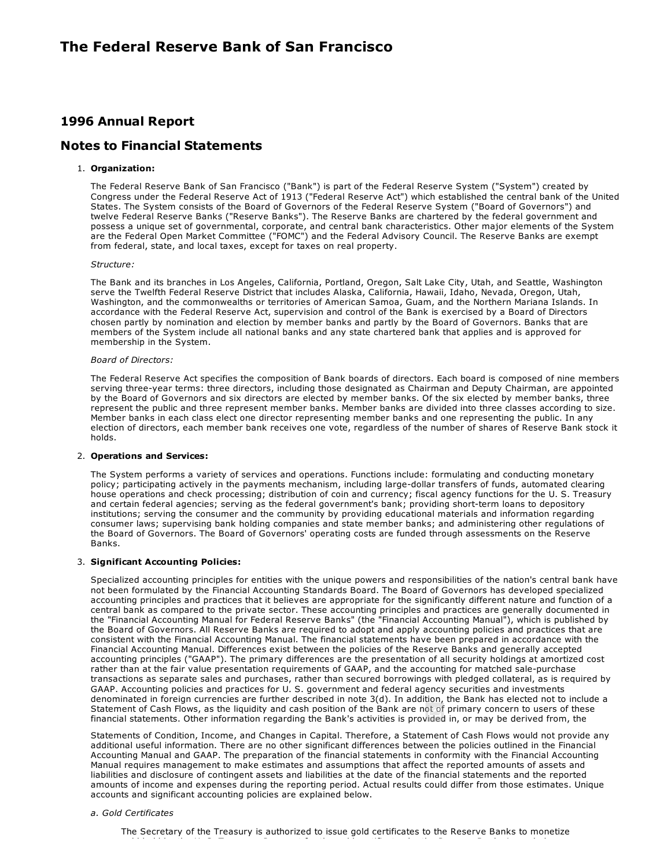## **1996 Annual Report**

## **Notes to Financial Statements**

### 1. **Organization:**

The Federal Reserve Bank of San Francisco ("Bank") is part of the Federal Reserve System ("System") created by Congress under the Federal Reserve Act of 1913 ("Federal Reserve Act") which established the central bank of the United States. The System consists of the Board of Governors of the Federal Reserve System ("Board of Governors") and twelve Federal Reserve Banks ("Reserve Banks"). The Reserve Banks are chartered by the federal government and possess a unique set of governmental, corporate, and central bank characteristics. Other major elements of the System are the Federal Open Market Committee ("FOMC") and the Federal Advisory Council. The Reserve Banks are exempt from federal, state, and local taxes, except for taxes on real property.

### *Structure:*

The Bank and its branches in Los Angeles, California, Portland, Oregon, Salt Lake City, Utah, and Seattle, Washington serve the Twelfth Federal Reserve District that includes Alaska, California, Hawaii, Idaho, Nevada, Oregon, Utah, Washington, and the commonwealths or territories of American Samoa, Guam, and the Northern Mariana Islands. In accordance with the Federal Reserve Act, supervision and control of the Bank is exercised by a Board of Directors chosen partly by nomination and election by member banks and partly by the Board of Governors. Banks that are members of the System include all national banks and any state chartered bank that applies and is approved for membership in the System.

### *Board of Directors:*

The Federal Reserve Act specifies the composition of Bank boards of directors. Each board is composed of nine members serving three-year terms: three directors, including those designated as Chairman and Deputy Chairman, are appointed by the Board of Governors and six directors are elected by member banks. Of the six elected by member banks, three represent the public and three represent member banks. Member banks are divided into three classes according to size. Member banks in each class elect one director representing member banks and one representing the public. In any election of directors, each member bank receives one vote, regardless of the number of shares of Reserve Bank stock it holds.

### 2. **Operations and Services:**

The System performs a variety of services and operations. Functions include: formulating and conducting monetary policy; participating actively in the payments mechanism, including large-dollar transfers of funds, automated clearing house operations and check processing; distribution of coin and currency; fiscal agency functions for the U. S. Treasury and certain federal agencies; serving as the federal government's bank; providing short-term loans to depository institutions; serving the consumer and the community by providing educational materials and information regarding consumer laws; supervising bank holding companies and state member banks; and administering other regulations of the Board of Governors. The Board of Governors' operating costs are funded through assessments on the Reserve Banks.

#### 3. **Significant Accounting Policies:**

Specialized accounting principles for entities with the unique powers and responsibilities of the nation's central bank have not been formulated by the Financial Accounting Standards Board. The Board of Governors has developed specialized accounting principles and practices that it believes are appropriate for the significantly different nature and function of a central bank as compared to the private sector. These accounting principles and practices are generally documented in the "Financial Accounting Manual for Federal Reserve Banks" (the "Financial Accounting Manual"), which is published by the Board of Governors. All Reserve Banks are required to adopt and apply accounting policies and practices that are consistent with the Financial Accounting Manual. The financial statements have been prepared in accordance with the Financial Accounting Manual. Differences exist between the policies of the Reserve Banks and generally accepted accounting principles ("GAAP"). The primary differences are the presentation of all security holdings at amortized cost rather than at the fair value presentation requirements of GAAP, and the accounting for matched sale-purchase transactions as separate sales and purchases, rather than secured borrowings with pledged collateral, as is required by GAAP. Accounting policies and practices for U. S. government and federal agency securities and investments denominated in foreign currencies are further described in note 3(d). In addition, the Bank has elected not to include a Statement of Cash Flows, as the liquidity and cash position of the Bank are not of primary concern to users of these financial statements. Other information regarding the Bank's activities is provided in, or may be derived from, the

Statements of Condition, Income, and Changes in Capital. Therefore, a Statement of Cash Flows would not provide any additional useful information. There are no other significant differences between the policies outlined in the Financial Accounting Manual and GAAP. The preparation of the financial statements in conformity with the Financial Accounting Manual requires management to make estimates and assumptions that affect the reported amounts of assets and liabilities and disclosure of contingent assets and liabilities at the date of the financial statements and the reported amounts of income and expenses during the reporting period. Actual results could differ from those estimates. Unique accounts and significant accounting policies are explained below.

#### *a. Gold Certificates*

The Secretary of the Treasury is authorized to issue gold certificates to the Reserve Banks to monetize gold held by the U. S. Treasury. Payment for the gold certificates by the Reserve Banks is made by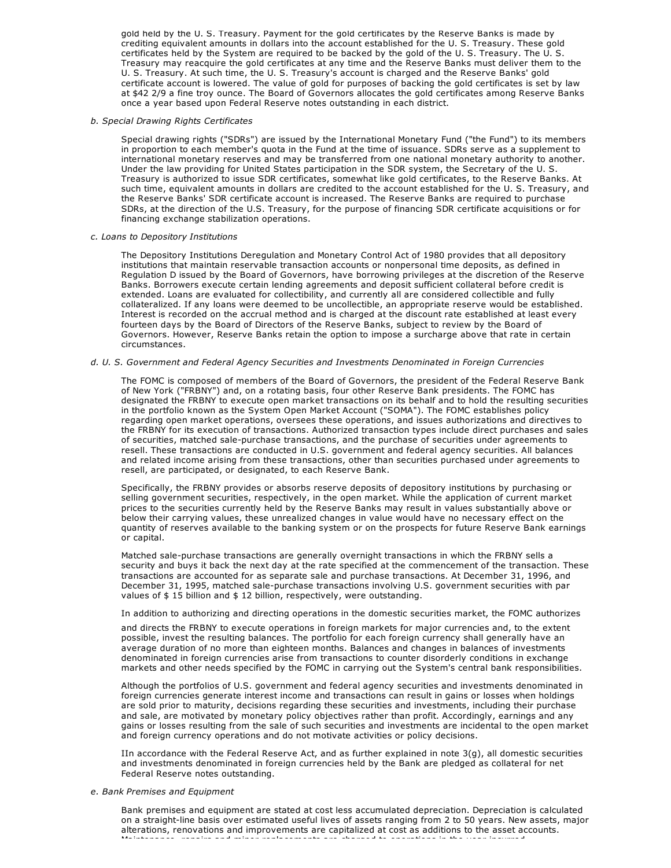gold held by the U. S. Treasury. Payment for the gold certificates by the Reserve Banks is made by crediting equivalent amounts in dollars into the account established for the U. S. Treasury. These gold certificates held by the System are required to be backed by the gold of the U. S. Treasury. The U. S. Treasury may reacquire the gold certificates at any time and the Reserve Banks must deliver them to the U. S. Treasury. At such time, the U. S. Treasury's account is charged and the Reserve Banks' gold certificate account is lowered. The value of gold for purposes of backing the gold certificates is set by law at \$42 2/9 a fine troy ounce. The Board of Governors allocates the gold certificates among Reserve Banks once a year based upon Federal Reserve notes outstanding in each district.

#### *b. Special Drawing Rights Certificates*

Special drawing rights ("SDRs") are issued by the International Monetary Fund ("the Fund") to its members in proportion to each member's quota in the Fund at the time of issuance. SDRs serve as a supplement to international monetary reserves and may be transferred from one national monetary authority to another. Under the law providing for United States participation in the SDR system, the Secretary of the U. S. Treasury is authorized to issue SDR certificates, somewhat like gold certificates, to the Reserve Banks. At such time, equivalent amounts in dollars are credited to the account established for the U. S. Treasury, and the Reserve Banks' SDR certificate account is increased. The Reserve Banks are required to purchase SDRs, at the direction of the U.S. Treasury, for the purpose of financing SDR certificate acquisitions or for financing exchange stabilization operations.

#### *c. Loans to Depository Institutions*

The Depository Institutions Deregulation and Monetary Control Act of 1980 provides that all depository institutions that maintain reservable transaction accounts or nonpersonal time deposits, as defined in Regulation D issued by the Board of Governors, have borrowing privileges at the discretion of the Reserve Banks. Borrowers execute certain lending agreements and deposit sufficient collateral before credit is extended. Loans are evaluated for collectibility, and currently all are considered collectible and fully collateralized. If any loans were deemed to be uncollectible, an appropriate reserve would be established. Interest is recorded on the accrual method and is charged at the discount rate established at least every fourteen days by the Board of Directors of the Reserve Banks, subject to review by the Board of Governors. However, Reserve Banks retain the option to impose a surcharge above that rate in certain circumstances.

#### *d. U. S. Government and Federal Agency Securities and Investments Denominated in Foreign Currencies*

The FOMC is composed of members of the Board of Governors, the president of the Federal Reserve Bank of New York ("FRBNY") and, on a rotating basis, four other Reserve Bank presidents. The FOMC has designated the FRBNY to execute open market transactions on its behalf and to hold the resulting securities in the portfolio known as the System Open Market Account ("SOMA"). The FOMC establishes policy regarding open market operations, oversees these operations, and issues authorizations and directives to the FRBNY for its execution of transactions. Authorized transaction types include direct purchases and sales of securities, matched sale-purchase transactions, and the purchase of securities under agreements to resell. These transactions are conducted in U.S. government and federal agency securities. All balances and related income arising from these transactions, other than securities purchased under agreements to resell, are participated, or designated, to each Reserve Bank.

Specifically, the FRBNY provides or absorbs reserve deposits of depository institutions by purchasing or selling government securities, respectively, in the open market. While the application of current market prices to the securities currently held by the Reserve Banks may result in values substantially above or below their carrying values, these unrealized changes in value would have no necessary effect on the quantity of reserves available to the banking system or on the prospects for future Reserve Bank earnings or capital.

Matched sale-purchase transactions are generally overnight transactions in which the FRBNY sells a security and buys it back the next day at the rate specified at the commencement of the transaction. These transactions are accounted for as separate sale and purchase transactions. At December 31, 1996, and December 31, 1995, matched sale-purchase transactions involving U.S. government securities with par values of \$ 15 billion and \$ 12 billion, respectively, were outstanding.

#### In addition to authorizing and directing operations in the domestic securities market, the FOMC authorizes

and directs the FRBNY to execute operations in foreign markets for major currencies and, to the extent possible, invest the resulting balances. The portfolio for each foreign currency shall generally have an average duration of no more than eighteen months. Balances and changes in balances of investments denominated in foreign currencies arise from transactions to counter disorderly conditions in exchange markets and other needs specified by the FOMC in carrying out the System's central bank responsibilities.

Although the portfolios of U.S. government and federal agency securities and investments denominated in foreign currencies generate interest income and transactions can result in gains or losses when holdings are sold prior to maturity, decisions regarding these securities and investments, including their purchase and sale, are motivated by monetary policy objectives rather than profit. Accordingly, earnings and any gains or losses resulting from the sale of such securities and investments are incidental to the open market and foreign currency operations and do not motivate activities or policy decisions.

IIn accordance with the Federal Reserve Act, and as further explained in note 3(g), all domestic securities and investments denominated in foreign currencies held by the Bank are pledged as collateral for net Federal Reserve notes outstanding.

#### *e. Bank Premises and Equipment*

Bank premises and equipment are stated at cost less accumulated depreciation. Depreciation is calculated on a straight-line basis over estimated useful lives of assets ranging from 2 to 50 years. New assets, major alterations, renovations and improvements are capitalized at cost as additions to the asset accounts. Maintenance, repairs and minor replacements are charged to operations in the year incurred.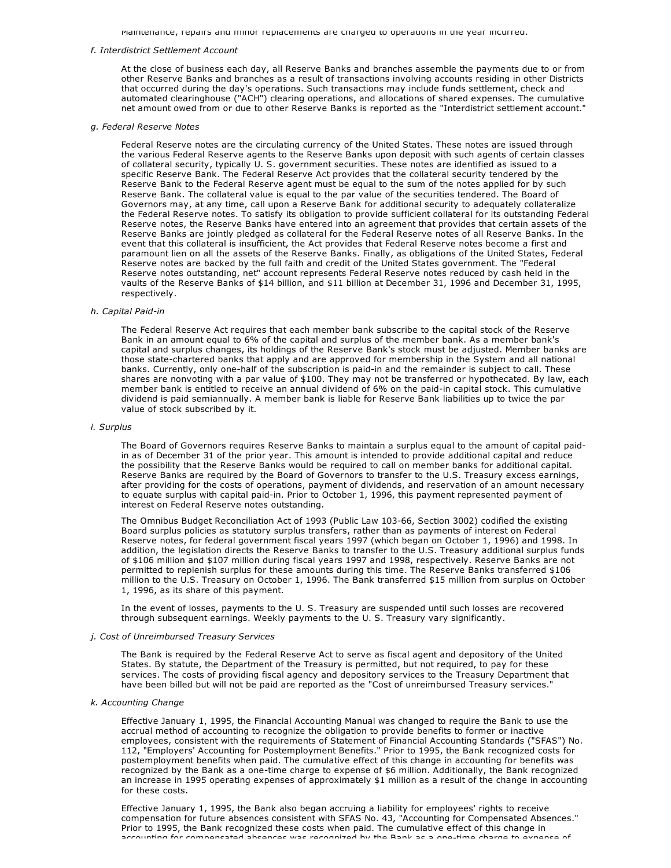Maintenance, repairs and minor replacements are charged to operations in the year incurred.

#### *f. Interdistrict Settlement Account*

At the close of business each day, all Reserve Banks and branches assemble the payments due to or from other Reserve Banks and branches as a result of transactions involving accounts residing in other Districts that occurred during the day's operations. Such transactions may include funds settlement, check and automated clearinghouse ("ACH") clearing operations, and allocations of shared expenses. The cumulative net amount owed from or due to other Reserve Banks is reported as the "Interdistrict settlement account."

#### *g. Federal Reserve Notes*

Federal Reserve notes are the circulating currency of the United States. These notes are issued through the various Federal Reserve agents to the Reserve Banks upon deposit with such agents of certain classes of collateral security, typically U. S. government securities. These notes are identified as issued to a specific Reserve Bank. The Federal Reserve Act provides that the collateral security tendered by the Reserve Bank to the Federal Reserve agent must be equal to the sum of the notes applied for by such Reserve Bank. The collateral value is equal to the par value of the securities tendered. The Board of Governors may, at any time, call upon a Reserve Bank for additional security to adequately collateralize the Federal Reserve notes. To satisfy its obligation to provide sufficient collateral for its outstanding Federal Reserve notes, the Reserve Banks have entered into an agreement that provides that certain assets of the Reserve Banks are jointly pledged as collateral for the Federal Reserve notes of all Reserve Banks. In the event that this collateral is insufficient, the Act provides that Federal Reserve notes become a first and paramount lien on all the assets of the Reserve Banks. Finally, as obligations of the United States, Federal Reserve notes are backed by the full faith and credit of the United States government. The "Federal Reserve notes outstanding, net" account represents Federal Reserve notes reduced by cash held in the vaults of the Reserve Banks of \$14 billion, and \$11 billion at December 31, 1996 and December 31, 1995, respectively.

#### **h.** Capital Paid-in

The Federal Reserve Act requires that each member bank subscribe to the capital stock of the Reserve Bank in an amount equal to 6% of the capital and surplus of the member bank. As a member bank's capital and surplus changes, its holdings of the Reserve Bank's stock must be adjusted. Member banks are those state-chartered banks that apply and are approved for membership in the System and all national banks. Currently, only one-half of the subscription is paid-in and the remainder is subject to call. These shares are nonvoting with a par value of \$100. They may not be transferred or hypothecated. By law, each member bank is entitled to receive an annual dividend of 6% on the paid-in capital stock. This cumulative dividend is paid semiannually. A member bank is liable for Reserve Bank liabilities up to twice the par value of stock subscribed by it.

#### *i. Surplus*

The Board of Governors requires Reserve Banks to maintain a surplus equal to the amount of capital paidin as of December 31 of the prior year. This amount is intended to provide additional capital and reduce the possibility that the Reserve Banks would be required to call on member banks for additional capital. Reserve Banks are required by the Board of Governors to transfer to the U.S. Treasury excess earnings, after providing for the costs of operations, payment of dividends, and reservation of an amount necessary to equate surplus with capital paid-in. Prior to October 1, 1996, this payment represented payment of interest on Federal Reserve notes outstanding.

The Omnibus Budget Reconciliation Act of 1993 (Public Law 103-66, Section 3002) codified the existing Board surplus policies as statutory surplus transfers, rather than as payments of interest on Federal Reserve notes, for federal government fiscal years 1997 (which began on October 1, 1996) and 1998. In addition, the legislation directs the Reserve Banks to transfer to the U.S. Treasury additional surplus funds of \$106 million and \$107 million during fiscal years 1997 and 1998, respectively. Reserve Banks are not permitted to replenish surplus for these amounts during this time. The Reserve Banks transferred \$106 million to the U.S. Treasury on October 1, 1996. The Bank transferred \$15 million from surplus on October 1, 1996, as its share of this payment.

In the event of losses, payments to the U. S. Treasury are suspended until such losses are recovered through subsequent earnings. Weekly payments to the U. S. Treasury vary significantly.

#### *j. Cost of Unreimbursed Treasury Services*

The Bank is required by the Federal Reserve Act to serve as fiscal agent and depository of the United States. By statute, the Department of the Treasury is permitted, but not required, to pay for these services. The costs of providing fiscal agency and depository services to the Treasury Department that have been billed but will not be paid are reported as the "Cost of unreimbursed Treasury services."

#### *k. Accounting Change*

Effective January 1, 1995, the Financial Accounting Manual was changed to require the Bank to use the accrual method of accounting to recognize the obligation to provide benefits to former or inactive employees, consistent with the requirements of Statement of Financial Accounting Standards ("SFAS") No. 112, "Employers' Accounting for Postemployment Benefits." Prior to 1995, the Bank recognized costs for postemployment benefits when paid. The cumulative effect of this change in accounting for benefits was recognized by the Bank as a one-time charge to expense of \$6 million. Additionally, the Bank recognized an increase in 1995 operating expenses of approximately \$1 million as a result of the change in accounting for these costs.

Effective January 1, 1995, the Bank also began accruing a liability for employees' rights to receive compensation for future absences consistent with SFAS No. 43, "Accounting for Compensated Absences." Prior to 1995, the Bank recognized these costs when paid. The cumulative effect of this change in accounting for compensated absences was recognized by the Bank as a onetime charge to expense of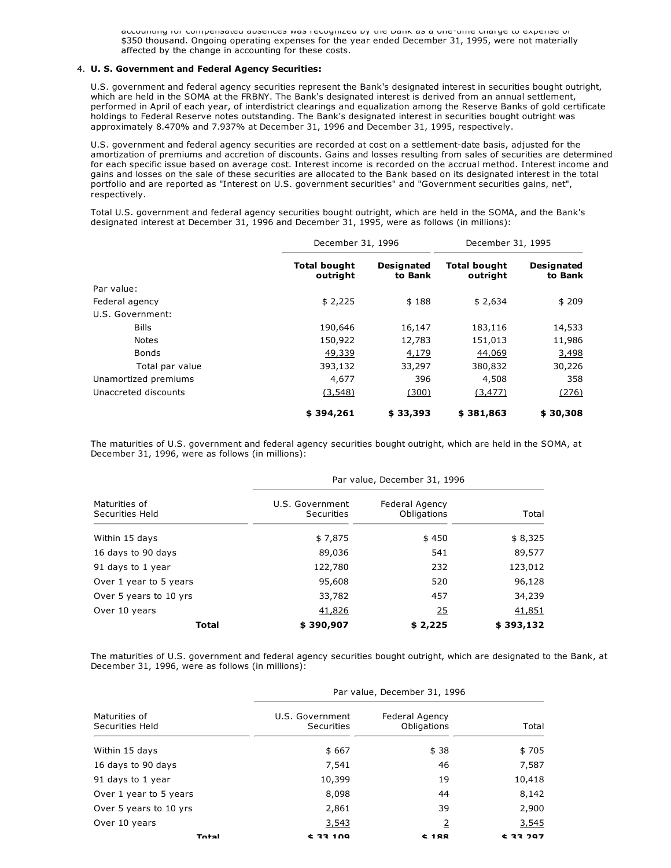accounting for compensated absences was recognized by the Bank as a onetime charge to expense of \$350 thousand. Ongoing operating expenses for the year ended December 31, 1995, were not materially affected by the change in accounting for these costs.

#### 4. **U. S. Government and Federal Agency Securities:**

U.S. government and federal agency securities represent the Bank's designated interest in securities bought outright, which are held in the SOMA at the FRBNY. The Bank's designated interest is derived from an annual settlement, performed in April of each year, of interdistrict clearings and equalization among the Reserve Banks of gold certificate holdings to Federal Reserve notes outstanding. The Bank's designated interest in securities bought outright was approximately 8.470% and 7.937% at December 31, 1996 and December 31, 1995, respectively.

U.S. government and federal agency securities are recorded at cost on a settlement-date basis, adjusted for the amortization of premiums and accretion of discounts. Gains and losses resulting from sales of securities are determined for each specific issue based on average cost. Interest income is recorded on the accrual method. Interest income and gains and losses on the sale of these securities are allocated to the Bank based on its designated interest in the total portfolio and are reported as "Interest on U.S. government securities" and "Government securities gains, net", respectively.

Total U.S. government and federal agency securities bought outright, which are held in the SOMA, and the Bank's designated interest at December 31, 1996 and December 31, 1995, were as follows (in millions):

|                      | December 31, 1996               |                              | December 31, 1995               |                              |
|----------------------|---------------------------------|------------------------------|---------------------------------|------------------------------|
|                      | <b>Total bought</b><br>outright | <b>Designated</b><br>to Bank | <b>Total bought</b><br>outright | <b>Designated</b><br>to Bank |
| Par value:           |                                 |                              |                                 |                              |
| Federal agency       | \$2,225                         | \$188                        | \$2,634                         | \$209                        |
| U.S. Government:     |                                 |                              |                                 |                              |
| <b>Bills</b>         | 190,646                         | 16,147                       | 183,116                         | 14,533                       |
| <b>Notes</b>         | 150,922                         | 12,783                       | 151,013                         | 11,986                       |
| <b>Bonds</b>         | 49,339                          | 4,179                        | 44,069                          | 3,498                        |
| Total par value      | 393,132                         | 33,297                       | 380,832                         | 30,226                       |
| Unamortized premiums | 4,677                           | 396                          | 4,508                           | 358                          |
| Unaccreted discounts | (3, 548)                        | (300)                        | (3, 477)                        | (276)                        |
|                      | \$394,261                       | \$33,393                     | \$381,863                       | \$30,308                     |

The maturities of U.S. government and federal agency securities bought outright, which are held in the SOMA, at December 31, 1996, were as follows (in millions):

|                                  | Par value, December 31, 1996  |                               |           |
|----------------------------------|-------------------------------|-------------------------------|-----------|
| Maturities of<br>Securities Held | U.S. Government<br>Securities | Federal Agency<br>Obligations | Total     |
| Within 15 days                   | \$7,875                       | \$450                         | \$8,325   |
| 16 days to 90 days               | 89,036                        | 541                           | 89,577    |
| 91 days to 1 year                | 122,780                       | 232                           | 123,012   |
| Over 1 year to 5 years           | 95,608                        | 520                           | 96,128    |
| Over 5 years to 10 yrs           | 33,782                        | 457                           | 34,239    |
| Over 10 years                    | 41,826                        | 25                            | 41,851    |
| <b>Total</b>                     | \$390,907                     | \$2,225                       | \$393,132 |

The maturities of U.S. government and federal agency securities bought outright, which are designated to the Bank, at December 31, 1996, were as follows (in millions):

|                                  |                               | Par value, December 31, 1996         |                 |
|----------------------------------|-------------------------------|--------------------------------------|-----------------|
| Maturities of<br>Securities Held | U.S. Government<br>Securities | <b>Federal Agency</b><br>Obligations | Total           |
| Within 15 days                   | \$667                         | \$38                                 | \$705           |
| 16 days to 90 days               | 7,541                         | 46                                   | 7,587           |
| 91 days to 1 year                | 10,399                        | 19                                   | 10,418          |
| Over 1 year to 5 years           | 8,098                         | 44                                   | 8,142           |
| Over 5 years to 10 yrs           | 2,861                         | 39                                   | 2,900           |
| Over 10 years                    | 3,543                         | $\overline{2}$                       | 3,545           |
| Total                            | <b>C 33 100</b>               | ±188                                 | <b>¢ 33 797</b> |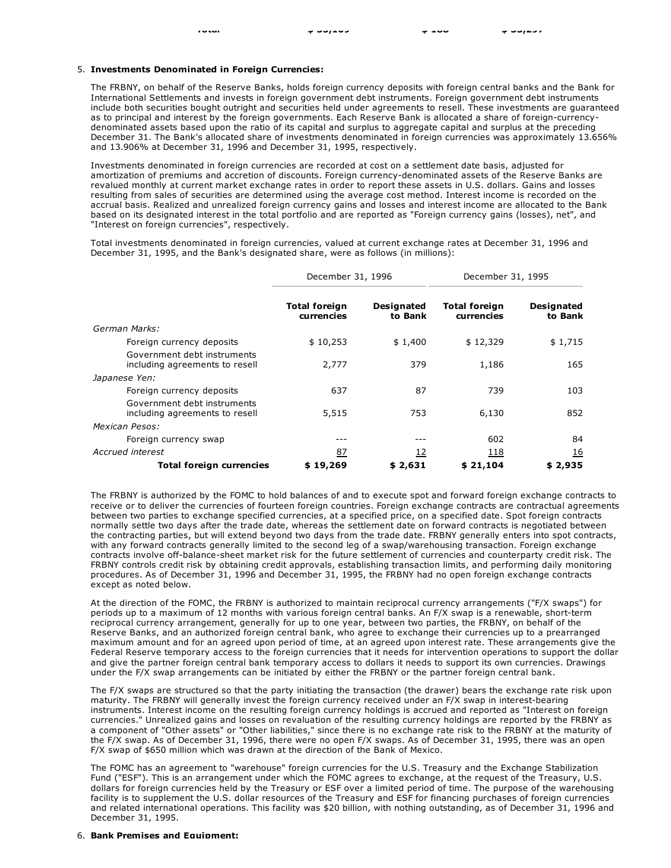### 5. **Investments Denominated in Foreign Currencies:**

The FRBNY, on behalf of the Reserve Banks, holds foreign currency deposits with foreign central banks and the Bank for International Settlements and invests in foreign government debt instruments. Foreign government debt instruments include both securities bought outright and securities held under agreements to resell. These investments are guaranteed as to principal and interest by the foreign governments. Each Reserve Bank is allocated a share of foreign-currencydenominated assets based upon the ratio of its capital and surplus to aggregate capital and surplus at the preceding December 31. The Bank's allocated share of investments denominated in foreign currencies was approximately 13.656% and 13.906% at December 31, 1996 and December 31, 1995, respectively.

Investments denominated in foreign currencies are recorded at cost on a settlement date basis, adjusted for amortization of premiums and accretion of discounts. Foreign currency-denominated assets of the Reserve Banks are revalued monthly at current market exchange rates in order to report these assets in U.S. dollars. Gains and losses resulting from sales of securities are determined using the average cost method. Interest income is recorded on the accrual basis. Realized and unrealized foreign currency gains and losses and interest income are allocated to the Bank based on its designated interest in the total portfolio and are reported as "Foreign currency gains (losses), net", and "Interest on foreign currencies", respectively.

Total investments denominated in foreign currencies, valued at current exchange rates at December 31, 1996 and December 31, 1995, and the Bank's designated share, were as follows (in millions):

|                                                               | December 31, 1996                  |                              | December 31, 1995                  |                              |
|---------------------------------------------------------------|------------------------------------|------------------------------|------------------------------------|------------------------------|
|                                                               | <b>Total foreign</b><br>currencies | <b>Designated</b><br>to Bank | <b>Total foreign</b><br>currencies | <b>Designated</b><br>to Bank |
| German Marks:                                                 |                                    |                              |                                    |                              |
| Foreign currency deposits                                     | \$10,253                           | \$1,400                      | \$12,329                           | \$1,715                      |
| Government debt instruments<br>including agreements to resell | 2,777                              | 379                          | 1,186                              | 165                          |
| Japanese Yen:                                                 |                                    |                              |                                    |                              |
| Foreign currency deposits                                     | 637                                | 87                           | 739                                | 103                          |
| Government debt instruments<br>including agreements to resell | 5,515                              | 753                          | 6,130                              | 852                          |
| Mexican Pesos:                                                |                                    |                              |                                    |                              |
| Foreign currency swap                                         |                                    |                              | 602                                | 84                           |
| Accrued interest                                              | 87                                 | <u> 12</u>                   | 118                                | <u>16</u>                    |
| <b>Total foreign currencies</b>                               | \$19,269                           | \$2,631                      | \$21,104                           | \$2,935                      |

The FRBNY is authorized by the FOMC to hold balances of and to execute spot and forward foreign exchange contracts to receive or to deliver the currencies of fourteen foreign countries. Foreign exchange contracts are contractual agreements between two parties to exchange specified currencies, at a specified price, on a specified date. Spot foreign contracts normally settle two days after the trade date, whereas the settlement date on forward contracts is negotiated between the contracting parties, but will extend beyond two days from the trade date. FRBNY generally enters into spot contracts, with any forward contracts generally limited to the second leg of a swap/warehousing transaction. Foreign exchange contracts involve off-balance-sheet market risk for the future settlement of currencies and counterparty credit risk. The FRBNY controls credit risk by obtaining credit approvals, establishing transaction limits, and performing daily monitoring procedures. As of December 31, 1996 and December 31, 1995, the FRBNY had no open foreign exchange contracts except as noted below.

At the direction of the FOMC, the FRBNY is authorized to maintain reciprocal currency arrangements ("F/X swaps") for periods up to a maximum of 12 months with various foreign central banks. An F/X swap is a renewable, short-term reciprocal currency arrangement, generally for up to one year, between two parties, the FRBNY, on behalf of the Reserve Banks, and an authorized foreign central bank, who agree to exchange their currencies up to a prearranged maximum amount and for an agreed upon period of time, at an agreed upon interest rate. These arrangements give the Federal Reserve temporary access to the foreign currencies that it needs for intervention operations to support the dollar and give the partner foreign central bank temporary access to dollars it needs to support its own currencies. Drawings under the F/X swap arrangements can be initiated by either the FRBNY or the partner foreign central bank.

The F/X swaps are structured so that the party initiating the transaction (the drawer) bears the exchange rate risk upon maturity. The FRBNY will generally invest the foreign currency received under an F/X swap in interest-bearing instruments. Interest income on the resulting foreign currency holdings is accrued and reported as "Interest on foreign currencies." Unrealized gains and losses on revaluation of the resulting currency holdings are reported by the FRBNY as a component of "Other assets" or "Other liabilities," since there is no exchange rate risk to the FRBNY at the maturity of the F/X swap. As of December 31, 1996, there were no open F/X swaps. As of December 31, 1995, there was an open F/X swap of \$650 million which was drawn at the direction of the Bank of Mexico.

The FOMC has an agreement to "warehouse" foreign currencies for the U.S. Treasury and the Exchange Stabilization Fund ("ESF"). This is an arrangement under which the FOMC agrees to exchange, at the request of the Treasury, U.S. dollars for foreign currencies held by the Treasury or ESF over a limited period of time. The purpose of the warehousing facility is to supplement the U.S. dollar resources of the Treasury and ESF for financing purchases of foreign currencies and related international operations. This facility was \$20 billion, with nothing outstanding, as of December 31, 1996 and December 31, 1995.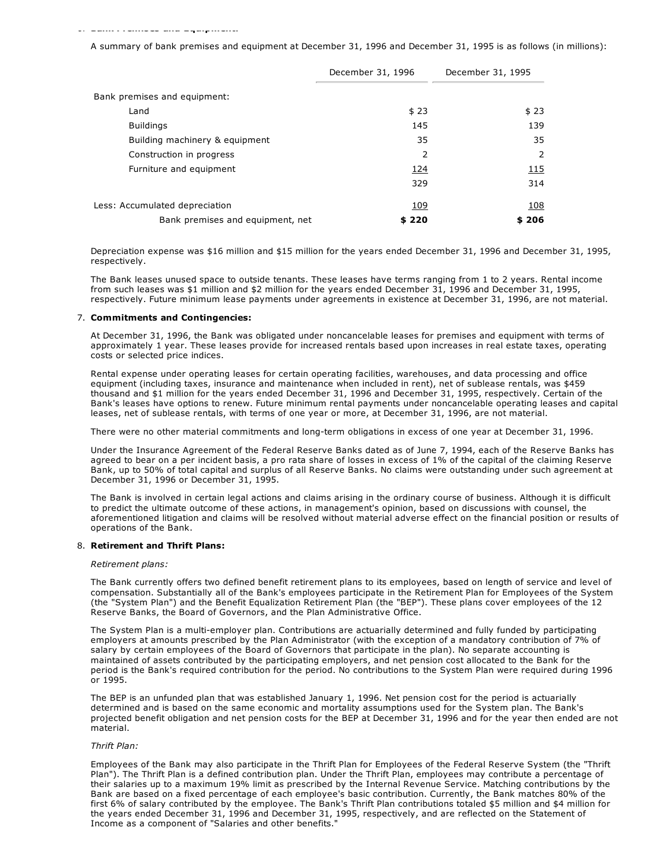#### 6. **Bank Premises and Equipment:**

A summary of bank premises and equipment at December 31, 1996 and December 31, 1995 is as follows (in millions):

|                                  | December 31, 1996 | December 31, 1995 |
|----------------------------------|-------------------|-------------------|
| Bank premises and equipment:     |                   |                   |
| Land                             | \$23              | \$23              |
| <b>Buildings</b>                 | 145               | 139               |
| Building machinery & equipment   | 35                | 35                |
| Construction in progress         | 2                 | 2                 |
| Furniture and equipment          | 124               | 115               |
|                                  | 329               | 314               |
| Less: Accumulated depreciation   | 109               | 108               |
| Bank premises and equipment, net | \$220             | \$206             |

Depreciation expense was \$16 million and \$15 million for the years ended December 31, 1996 and December 31, 1995, respectively.

The Bank leases unused space to outside tenants. These leases have terms ranging from 1 to 2 years. Rental income from such leases was \$1 million and \$2 million for the years ended December 31, 1996 and December 31, 1995, respectively. Future minimum lease payments under agreements in existence at December 31, 1996, are not material.

#### 7. **Commitments and Contingencies:**

At December 31, 1996, the Bank was obligated under noncancelable leases for premises and equipment with terms of approximately 1 year. These leases provide for increased rentals based upon increases in real estate taxes, operating costs or selected price indices.

Rental expense under operating leases for certain operating facilities, warehouses, and data processing and office equipment (including taxes, insurance and maintenance when included in rent), net of sublease rentals, was \$459 thousand and \$1 million for the years ended December 31, 1996 and December 31, 1995, respectively. Certain of the Bank's leases have options to renew. Future minimum rental payments under noncancelable operating leases and capital leases, net of sublease rentals, with terms of one year or more, at December 31, 1996, are not material.

There were no other material commitments and long-term obligations in excess of one year at December 31, 1996.

Under the Insurance Agreement of the Federal Reserve Banks dated as of June 7, 1994, each of the Reserve Banks has agreed to bear on a per incident basis, a pro rata share of losses in excess of 1% of the capital of the claiming Reserve Bank, up to 50% of total capital and surplus of all Reserve Banks. No claims were outstanding under such agreement at December 31, 1996 or December 31, 1995.

The Bank is involved in certain legal actions and claims arising in the ordinary course of business. Although it is difficult to predict the ultimate outcome of these actions, in management's opinion, based on discussions with counsel, the aforementioned litigation and claims will be resolved without material adverse effect on the financial position or results of operations of the Bank.

#### 8. **Retirement and Thrift Plans:**

#### *Retirement plans:*

The Bank currently offers two defined benefit retirement plans to its employees, based on length of service and level of compensation. Substantially all of the Bank's employees participate in the Retirement Plan for Employees of the System (the "System Plan") and the Benefit Equalization Retirement Plan (the "BEP"). These plans cover employees of the 12 Reserve Banks, the Board of Governors, and the Plan Administrative Office.

The System Plan is a multi-employer plan. Contributions are actuarially determined and fully funded by participating employers at amounts prescribed by the Plan Administrator (with the exception of a mandatory contribution of 7% of salary by certain employees of the Board of Governors that participate in the plan). No separate accounting is maintained of assets contributed by the participating employers, and net pension cost allocated to the Bank for the period is the Bank's required contribution for the period. No contributions to the System Plan were required during 1996 or 1995.

The BEP is an unfunded plan that was established January 1, 1996. Net pension cost for the period is actuarially determined and is based on the same economic and mortality assumptions used for the System plan. The Bank's projected benefit obligation and net pension costs for the BEP at December 31, 1996 and for the year then ended are not material.

#### *Thrift Plan:*

Employees of the Bank may also participate in the Thrift Plan for Employees of the Federal Reserve System (the "Thrift Plan"). The Thrift Plan is a defined contribution plan. Under the Thrift Plan, employees may contribute a percentage of their salaries up to a maximum 19% limit as prescribed by the Internal Revenue Service. Matching contributions by the Bank are based on a fixed percentage of each employee's basic contribution. Currently, the Bank matches 80% of the first 6% of salary contributed by the employee. The Bank's Thrift Plan contributions totaled \$5 million and \$4 million for the years ended December 31, 1996 and December 31, 1995, respectively, and are reflected on the Statement of Income as a component of "Salaries and other benefits."